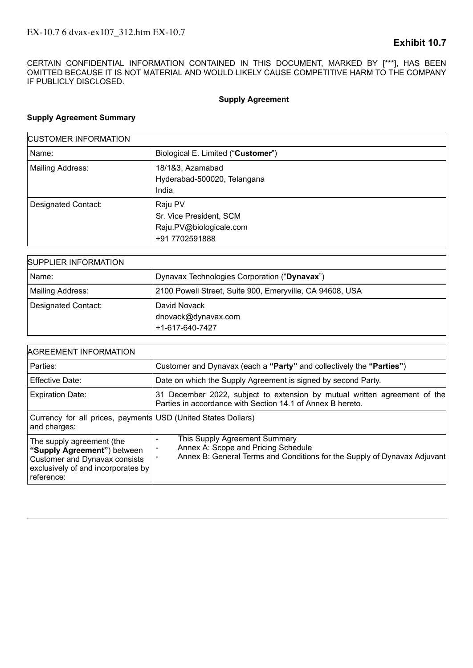CERTAIN CONFIDENTIAL INFORMATION CONTAINED IN THIS DOCUMENT, MARKED BY [\*\*\*], HAS BEEN OMITTED BECAUSE IT IS NOT MATERIAL AND WOULD LIKELY CAUSE COMPETITIVE HARM TO THE COMPANY IF PUBLICLY DISCLOSED.

# **Supply Agreement**

# **Supply Agreement Summary**

| <b>CUSTOMER INFORMATION</b> |                                                                                 |  |
|-----------------------------|---------------------------------------------------------------------------------|--|
| Name:                       | Biological E. Limited ("Customer")                                              |  |
| Mailing Address:            | 18/1&3, Azamabad<br>Hyderabad-500020, Telangana<br>India                        |  |
| Designated Contact:         | Raju PV<br>Sr. Vice President, SCM<br>Raju.PV@biologicale.com<br>+91 7702591888 |  |

| SUPPLIER INFORMATION |                                                          |  |
|----------------------|----------------------------------------------------------|--|
| Name:                | Dynavax Technologies Corporation ("Dynavax")             |  |
| Mailing Address:     | 2100 Powell Street, Suite 900, Emeryville, CA 94608, USA |  |
| Designated Contact:  | David Novack<br>dnovack@dynavax.com<br>+1-617-640-7427   |  |

| <b>AGREEMENT INFORMATION</b>                                                                                                                         |                                                                                                                                                  |  |  |
|------------------------------------------------------------------------------------------------------------------------------------------------------|--------------------------------------------------------------------------------------------------------------------------------------------------|--|--|
| Parties:                                                                                                                                             | Customer and Dynavax (each a "Party" and collectively the "Parties")                                                                             |  |  |
| <b>Effective Date:</b>                                                                                                                               | Date on which the Supply Agreement is signed by second Party.                                                                                    |  |  |
| <b>Expiration Date:</b>                                                                                                                              | 31 December 2022, subject to extension by mutual written agreement of the<br>Parties in accordance with Section 14.1 of Annex B hereto.          |  |  |
| Currency for all prices, payments USD (United States Dollars)<br>and charges:                                                                        |                                                                                                                                                  |  |  |
| The supply agreement (the<br>"Supply Agreement") between<br><b>Customer and Dynavax consists</b><br>exclusively of and incorporates by<br>reference: | This Supply Agreement Summary<br>Annex A: Scope and Pricing Schedule<br>Annex B: General Terms and Conditions for the Supply of Dynavax Adjuvant |  |  |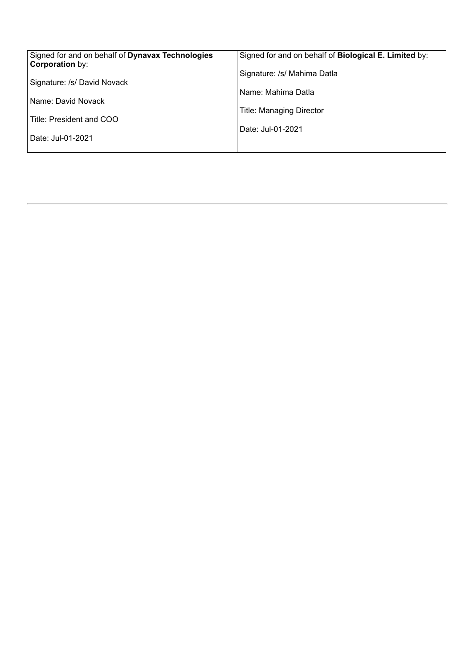| Signed for and on behalf of Dynavax Technologies<br><b>Corporation by:</b> | Signed for and on behalf of Biological E. Limited by: |
|----------------------------------------------------------------------------|-------------------------------------------------------|
| Signature: /s/ David Novack                                                | Signature: /s/ Mahima Datla                           |
| Name: David Novack                                                         | Name: Mahima Datla                                    |
|                                                                            | <b>Title: Managing Director</b>                       |
| Title: President and COO                                                   | Date: Jul-01-2021                                     |
| Date: Jul-01-2021                                                          |                                                       |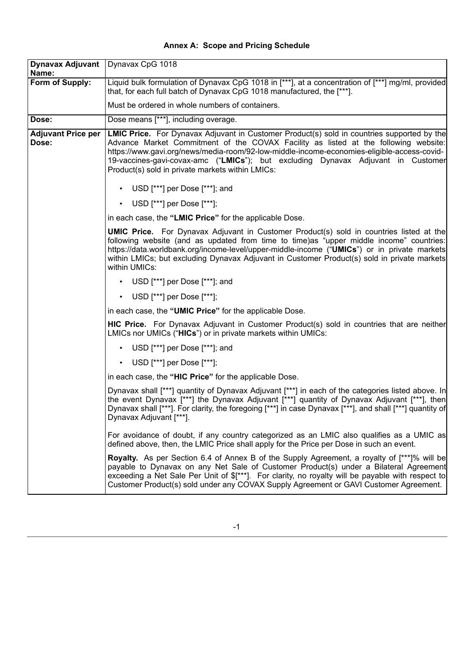| <b>Annex A: Scope and Pricing Schedule</b> |  |  |  |
|--------------------------------------------|--|--|--|
|--------------------------------------------|--|--|--|

| Dynavax Adjuvant   Dynavax CpG 1018<br>Name: |                                                                                                                                                                                                                                                                                                                                                                                                                                |
|----------------------------------------------|--------------------------------------------------------------------------------------------------------------------------------------------------------------------------------------------------------------------------------------------------------------------------------------------------------------------------------------------------------------------------------------------------------------------------------|
| Form of Supply:                              | Liquid bulk formulation of Dynavax CpG 1018 in [***], at a concentration of [***] mg/ml, provided<br>that, for each full batch of Dynavax CpG 1018 manufactured, the [***].                                                                                                                                                                                                                                                    |
|                                              | Must be ordered in whole numbers of containers.                                                                                                                                                                                                                                                                                                                                                                                |
| Dose:                                        | Dose means [***], including overage.                                                                                                                                                                                                                                                                                                                                                                                           |
| <b>Adjuvant Price per</b><br>Dose:           | <b>LMIC Price.</b> For Dynavax Adjuvant in Customer Product(s) sold in countries supported by the<br>Advance Market Commitment of the COVAX Facility as listed at the following website:<br>https://www.gavi.org/news/media-room/92-low-middle-income-economies-eligible-access-covid-<br>19-vaccines-gavi-covax-amc ("LMICs"); but excluding Dynavax Adjuvant in Customer<br>Product(s) sold in private markets within LMICs: |
|                                              | USD [***] per Dose [***]; and<br>$\bullet$                                                                                                                                                                                                                                                                                                                                                                                     |
|                                              | • USD [***] per Dose [***];                                                                                                                                                                                                                                                                                                                                                                                                    |
|                                              | in each case, the "LMIC Price" for the applicable Dose.                                                                                                                                                                                                                                                                                                                                                                        |
|                                              | <b>UMIC Price.</b> For Dynavax Adjuvant in Customer Product(s) sold in countries listed at the<br>following website (and as updated from time to time)as "upper middle income" countries:<br>https://data.worldbank.org/income-level/upper-middle-income ("UMICs") or in private markets<br>within LMICs; but excluding Dynavax Adjuvant in Customer Product(s) sold in private markets<br>within UMICs:                       |
|                                              | USD [***] per Dose [***]; and<br>$\bullet$                                                                                                                                                                                                                                                                                                                                                                                     |
|                                              | • USD [***] per Dose [***];                                                                                                                                                                                                                                                                                                                                                                                                    |
|                                              | in each case, the "UMIC Price" for the applicable Dose.                                                                                                                                                                                                                                                                                                                                                                        |
|                                              | HIC Price. For Dynavax Adjuvant in Customer Product(s) sold in countries that are neither<br>LMICs nor UMICs ("HICs") or in private markets within UMICs:                                                                                                                                                                                                                                                                      |
|                                              | USD [***] per Dose [***]; and<br>$\bullet$                                                                                                                                                                                                                                                                                                                                                                                     |
|                                              | • USD [***] per Dose [***];                                                                                                                                                                                                                                                                                                                                                                                                    |
|                                              | in each case, the "HIC Price" for the applicable Dose.                                                                                                                                                                                                                                                                                                                                                                         |
|                                              | Dynavax shall [***] quantity of Dynavax Adjuvant [***] in each of the categories listed above. In<br>the event Dynavax [***] the Dynavax Adjuvant [***] quantity of Dynavax Adjuvant [***], then<br>Dynavax shall [***]. For clarity, the foregoing [***] in case Dynavax [***], and shall [***] quantity of<br>Dynavax Adjuvant [***].                                                                                        |
|                                              | For avoidance of doubt, if any country categorized as an LMIC also qualifies as a UMIC as<br>defined above, then, the LMIC Price shall apply for the Price per Dose in such an event.                                                                                                                                                                                                                                          |
|                                              | <b>Royalty.</b> As per Section 6.4 of Annex B of the Supply Agreement, a royalty of [***]% will be<br>payable to Dynavax on any Net Sale of Customer Product(s) under a Bilateral Agreement<br>exceeding a Net Sale Per Unit of \$[***]. For clarity, no royalty will be payable with respect to<br>Customer Product(s) sold under any COVAX Supply Agreement or GAVI Customer Agreement.                                      |

-1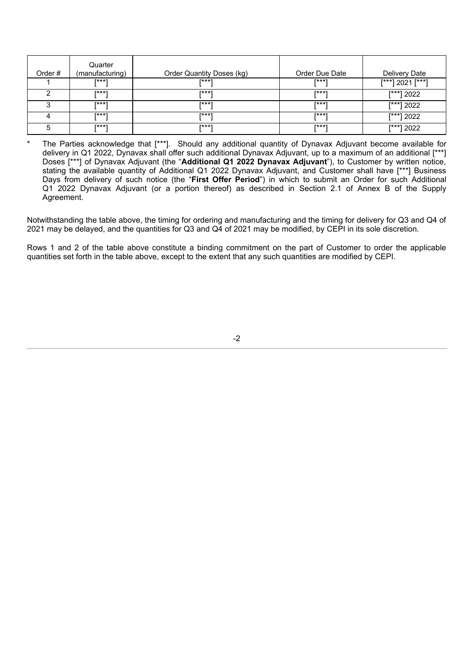| Order# | Quarter<br>(manufacturing) | Order Quantity Doses (kg) | Order Due Date | Delivery Date    |
|--------|----------------------------|---------------------------|----------------|------------------|
|        | $1***1$                    | $1***1$                   | <b>T***1</b>   | [***] 2021 [***] |
|        | <b>F***1</b>               | $1***1$                   | <b>T***1</b>   | $[t***]$ 2022    |
|        | <b>T***1</b>               | $1***1$                   | <b>T***1</b>   | $[t***]$ 2022    |
|        | <b>T***1</b>               | $1***1$                   | $+***$         | [***] 2022       |
| 5      | $1***1$                    | $1***1$                   | <b>T***1</b>   | $[t***]$ 2022    |

The Parties acknowledge that [\*\*\*]. Should any additional quantity of Dynavax Adjuvant become available for delivery in Q1 2022, Dynavax shall offer such additional Dynavax Adjuvant, up to a maximum of an additional [\*\*\*] Doses [\*\*\*] of Dynavax Adjuvant (the "**Additional Q1 2022 Dynavax Adjuvant**"), to Customer by written notice, stating the available quantity of Additional Q1 2022 Dynavax Adjuvant, and Customer shall have [\*\*\*] Business Days from delivery of such notice (the "**First Offer Period**") in which to submit an Order for such Additional Q1 2022 Dynavax Adjuvant (or a portion thereof) as described in Section 2.1 of Annex B of the Supply Agreement.

Notwithstanding the table above, the timing for ordering and manufacturing and the timing for delivery for Q3 and Q4 of 2021 may be delayed, and the quantities for Q3 and Q4 of 2021 may be modified, by CEPI in its sole discretion.

Rows 1 and 2 of the table above constitute a binding commitment on the part of Customer to order the applicable quantities set forth in the table above, except to the extent that any such quantities are modified by CEPI.

<sup>-2</sup>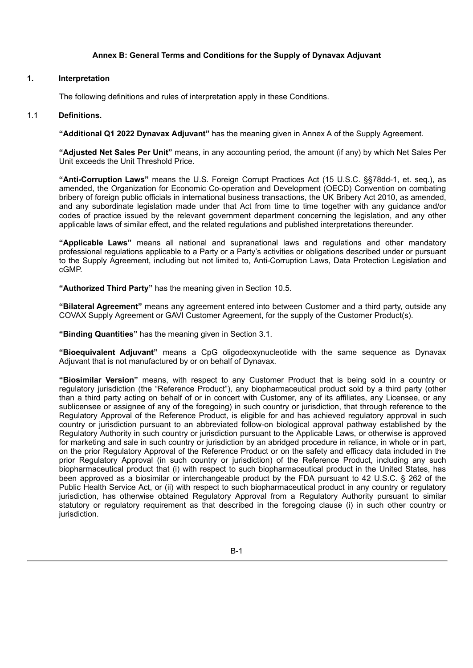## **Annex B: General Terms and Conditions for the Supply of Dynavax Adjuvant**

#### **1. Interpretation**

The following definitions and rules of interpretation apply in these Conditions.

#### 1.1 **Definitions.**

**"Additional Q1 2022 Dynavax Adjuvant"** has the meaning given in Annex A of the Supply Agreement.

**"Adjusted Net Sales Per Unit"** means, in any accounting period, the amount (if any) by which Net Sales Per Unit exceeds the Unit Threshold Price.

**"Anti-Corruption Laws"** means the U.S. Foreign Corrupt Practices Act (15 U.S.C. §§78dd-1, et. seq.), as amended, the Organization for Economic Co-operation and Development (OECD) Convention on combating bribery of foreign public officials in international business transactions, the UK Bribery Act 2010, as amended, and any subordinate legislation made under that Act from time to time together with any guidance and/or codes of practice issued by the relevant government department concerning the legislation, and any other applicable laws of similar effect, and the related regulations and published interpretations thereunder.

**"Applicable Laws"** means all national and supranational laws and regulations and other mandatory professional regulations applicable to a Party or a Party's activities or obligations described under or pursuant to the Supply Agreement, including but not limited to, Anti-Corruption Laws, Data Protection Legislation and cGMP.

**"Authorized Third Party"** has the meaning given in Section 10.5.

**"Bilateral Agreement"** means any agreement entered into between Customer and a third party, outside any COVAX Supply Agreement or GAVI Customer Agreement, for the supply of the Customer Product(s).

**"Binding Quantities"** has the meaning given in Section 3.1.

**"Bioequivalent Adjuvant"** means a CpG oligodeoxynucleotide with the same sequence as Dynavax Adjuvant that is not manufactured by or on behalf of Dynavax.

**"Biosimilar Version"** means, with respect to any Customer Product that is being sold in a country or regulatory jurisdiction (the "Reference Product"), any biopharmaceutical product sold by a third party (other than a third party acting on behalf of or in concert with Customer, any of its affiliates, any Licensee, or any sublicensee or assignee of any of the foregoing) in such country or jurisdiction, that through reference to the Regulatory Approval of the Reference Product, is eligible for and has achieved regulatory approval in such country or jurisdiction pursuant to an abbreviated follow-on biological approval pathway established by the Regulatory Authority in such country or jurisdiction pursuant to the Applicable Laws, or otherwise is approved for marketing and sale in such country or jurisdiction by an abridged procedure in reliance, in whole or in part, on the prior Regulatory Approval of the Reference Product or on the safety and efficacy data included in the prior Regulatory Approval (in such country or jurisdiction) of the Reference Product, including any such biopharmaceutical product that (i) with respect to such biopharmaceutical product in the United States, has been approved as a biosimilar or interchangeable product by the FDA pursuant to 42 U.S.C. § 262 of the Public Health Service Act, or (ii) with respect to such biopharmaceutical product in any country or regulatory jurisdiction, has otherwise obtained Regulatory Approval from a Regulatory Authority pursuant to similar statutory or regulatory requirement as that described in the foregoing clause (i) in such other country or jurisdiction.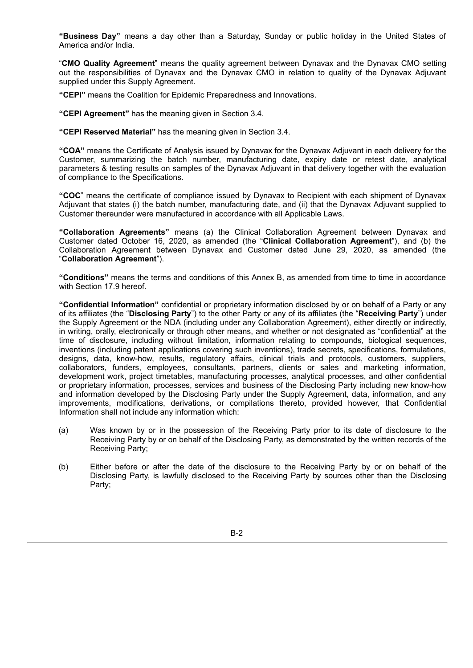**"Business Day"** means a day other than a Saturday, Sunday or public holiday in the United States of America and/or India.

"**CMO Quality Agreement**" means the quality agreement between Dynavax and the Dynavax CMO setting out the responsibilities of Dynavax and the Dynavax CMO in relation to quality of the Dynavax Adjuvant supplied under this Supply Agreement.

**"CEPI"** means the Coalition for Epidemic Preparedness and Innovations.

**"CEPI Agreement"** has the meaning given in Section 3.4.

**"CEPI Reserved Material"** has the meaning given in Section 3.4.

**"COA"** means the Certificate of Analysis issued by Dynavax for the Dynavax Adjuvant in each delivery for the Customer, summarizing the batch number, manufacturing date, expiry date or retest date, analytical parameters & testing results on samples of the Dynavax Adjuvant in that delivery together with the evaluation of compliance to the Specifications.

**"COC**" means the certificate of compliance issued by Dynavax to Recipient with each shipment of Dynavax Adjuvant that states (i) the batch number, manufacturing date, and (ii) that the Dynavax Adjuvant supplied to Customer thereunder were manufactured in accordance with all Applicable Laws.

**"Collaboration Agreements"** means (a) the Clinical Collaboration Agreement between Dynavax and Customer dated October 16, 2020, as amended (the "**Clinical Collaboration Agreement**"), and (b) the Collaboration Agreement between Dynavax and Customer dated June 29, 2020, as amended (the "**Collaboration Agreement**").

**"Conditions"** means the terms and conditions of this Annex B, as amended from time to time in accordance with Section 17.9 hereof.

**"Confidential Information"** confidential or proprietary information disclosed by or on behalf of a Party or any of its affiliates (the "**Disclosing Party**") to the other Party or any of its affiliates (the "**Receiving Party**") under the Supply Agreement or the NDA (including under any Collaboration Agreement), either directly or indirectly, in writing, orally, electronically or through other means, and whether or not designated as "confidential" at the time of disclosure, including without limitation, information relating to compounds, biological sequences, inventions (including patent applications covering such inventions), trade secrets, specifications, formulations, designs, data, know-how, results, regulatory affairs, clinical trials and protocols, customers, suppliers, collaborators, funders, employees, consultants, partners, clients or sales and marketing information, development work, project timetables, manufacturing processes, analytical processes, and other confidential or proprietary information, processes, services and business of the Disclosing Party including new know-how and information developed by the Disclosing Party under the Supply Agreement, data, information, and any improvements, modifications, derivations, or compilations thereto, provided however, that Confidential Information shall not include any information which:

- (a) Was known by or in the possession of the Receiving Party prior to its date of disclosure to the Receiving Party by or on behalf of the Disclosing Party, as demonstrated by the written records of the Receiving Party;
- (b) Either before or after the date of the disclosure to the Receiving Party by or on behalf of the Disclosing Party, is lawfully disclosed to the Receiving Party by sources other than the Disclosing Party;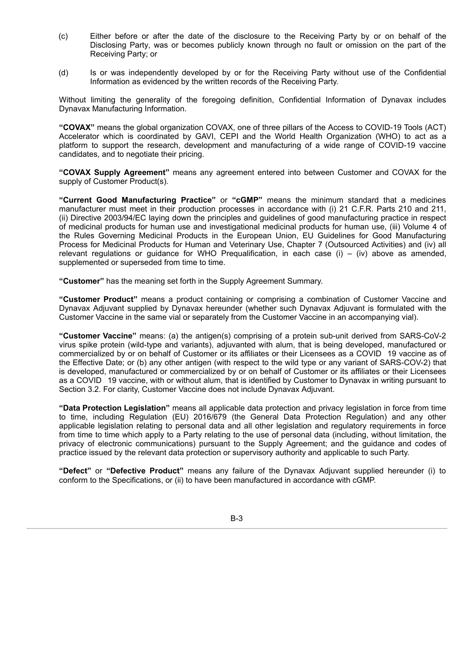- (c) Either before or after the date of the disclosure to the Receiving Party by or on behalf of the Disclosing Party, was or becomes publicly known through no fault or omission on the part of the Receiving Party; or
- (d) Is or was independently developed by or for the Receiving Party without use of the Confidential Information as evidenced by the written records of the Receiving Party.

Without limiting the generality of the foregoing definition, Confidential Information of Dynavax includes Dynavax Manufacturing Information.

**"COVAX"** means the global organization COVAX, one of three pillars of the Access to COVID-19 Tools (ACT) Accelerator which is coordinated by GAVI, CEPI and the World Health Organization (WHO) to act as a platform to support the research, development and manufacturing of a wide range of COVID-19 vaccine candidates, and to negotiate their pricing.

**"COVAX Supply Agreement"** means any agreement entered into between Customer and COVAX for the supply of Customer Product(s).

**"Current Good Manufacturing Practice"** or **"cGMP"** means the minimum standard that a medicines manufacturer must meet in their production processes in accordance with (i) 21 C.F.R. Parts 210 and 211, (ii) Directive 2003/94/EC laying down the principles and guidelines of good manufacturing practice in respect of medicinal products for human use and investigational medicinal products for human use, (iii) Volume 4 of the Rules Governing Medicinal Products in the European Union, EU Guidelines for Good Manufacturing Process for Medicinal Products for Human and Veterinary Use, Chapter 7 (Outsourced Activities) and (iv) all relevant regulations or guidance for WHO Pregualification, in each case  $(i) - (iv)$  above as amended, supplemented or superseded from time to time.

**"Customer"** has the meaning set forth in the Supply Agreement Summary.

**"Customer Product"** means a product containing or comprising a combination of Customer Vaccine and Dynavax Adjuvant supplied by Dynavax hereunder (whether such Dynavax Adjuvant is formulated with the Customer Vaccine in the same vial or separately from the Customer Vaccine in an accompanying vial).

**"Customer Vaccine"** means: (a) the antigen(s) comprising of a protein sub-unit derived from SARS-CoV-2 virus spike protein (wild-type and variants), adjuvanted with alum, that is being developed, manufactured or commercialized by or on behalf of Customer or its affiliates or their Licensees as a COVID 19 vaccine as of the Effective Date; or (b) any other antigen (with respect to the wild type or any variant of SARS-COV-2) that is developed, manufactured or commercialized by or on behalf of Customer or its affiliates or their Licensees as a COVID 19 vaccine, with or without alum, that is identified by Customer to Dynavax in writing pursuant to Section 3.2. For clarity, Customer Vaccine does not include Dynavax Adjuvant.

**"Data Protection Legislation"** means all applicable data protection and privacy legislation in force from time to time, including Regulation (EU) 2016/679 (the General Data Protection Regulation) and any other applicable legislation relating to personal data and all other legislation and regulatory requirements in force from time to time which apply to a Party relating to the use of personal data (including, without limitation, the privacy of electronic communications) pursuant to the Supply Agreement; and the guidance and codes of practice issued by the relevant data protection or supervisory authority and applicable to such Party.

**"Defect"** or **"Defective Product"** means any failure of the Dynavax Adjuvant supplied hereunder (i) to conform to the Specifications, or (ii) to have been manufactured in accordance with cGMP.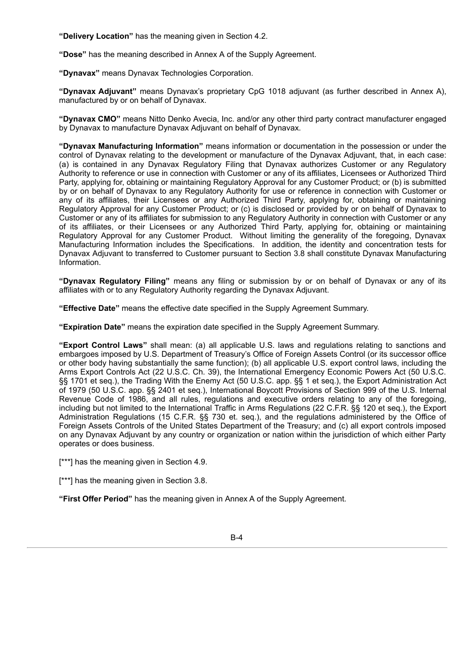**"Delivery Location"** has the meaning given in Section 4.2.

**"Dose"** has the meaning described in Annex A of the Supply Agreement.

**"Dynavax"** means Dynavax Technologies Corporation.

**"Dynavax Adjuvant"** means Dynavax's proprietary CpG 1018 adjuvant (as further described in Annex A), manufactured by or on behalf of Dynavax.

**"Dynavax CMO"** means Nitto Denko Avecia, Inc. and/or any other third party contract manufacturer engaged by Dynavax to manufacture Dynavax Adjuvant on behalf of Dynavax.

**"Dynavax Manufacturing Information"** means information or documentation in the possession or under the control of Dynavax relating to the development or manufacture of the Dynavax Adjuvant, that, in each case: (a) is contained in any Dynavax Regulatory Filing that Dynavax authorizes Customer or any Regulatory Authority to reference or use in connection with Customer or any of its affiliates, Licensees or Authorized Third Party, applying for, obtaining or maintaining Regulatory Approval for any Customer Product; or (b) is submitted by or on behalf of Dynavax to any Regulatory Authority for use or reference in connection with Customer or any of its affiliates, their Licensees or any Authorized Third Party, applying for, obtaining or maintaining Regulatory Approval for any Customer Product; or (c) is disclosed or provided by or on behalf of Dynavax to Customer or any of its affiliates for submission to any Regulatory Authority in connection with Customer or any of its affiliates, or their Licensees or any Authorized Third Party, applying for, obtaining or maintaining Regulatory Approval for any Customer Product. Without limiting the generality of the foregoing, Dynavax Manufacturing Information includes the Specifications. In addition, the identity and concentration tests for Dynavax Adjuvant to transferred to Customer pursuant to Section 3.8 shall constitute Dynavax Manufacturing Information.

**"Dynavax Regulatory Filing"** means any filing or submission by or on behalf of Dynavax or any of its affiliates with or to any Regulatory Authority regarding the Dynavax Adjuvant.

**"Effective Date"** means the effective date specified in the Supply Agreement Summary.

**"Expiration Date"** means the expiration date specified in the Supply Agreement Summary.

**"Export Control Laws"** shall mean: (a) all applicable U.S. laws and regulations relating to sanctions and embargoes imposed by U.S. Department of Treasury's Office of Foreign Assets Control (or its successor office or other body having substantially the same function); (b) all applicable U.S. export control laws, including the Arms Export Controls Act (22 U.S.C. Ch. 39), the International Emergency Economic Powers Act (50 U.S.C. §§ 1701 et seq.), the Trading With the Enemy Act (50 U.S.C. app. §§ 1 et seq.), the Export Administration Act of 1979 (50 U.S.C. app. §§ 2401 et seq.), International Boycott Provisions of Section 999 of the U.S. Internal Revenue Code of 1986, and all rules, regulations and executive orders relating to any of the foregoing, including but not limited to the International Traffic in Arms Regulations (22 C.F.R. §§ 120 et seq.), the Export Administration Regulations (15 C.F.R. §§ 730 et. seq.), and the regulations administered by the Office of Foreign Assets Controls of the United States Department of the Treasury; and (c) all export controls imposed on any Dynavax Adjuvant by any country or organization or nation within the jurisdiction of which either Party operates or does business.

[\*\*\*] has the meaning given in Section 4.9.

[\*\*\*] has the meaning given in Section 3.8.

**"First Offer Period"** has the meaning given in Annex A of the Supply Agreement.

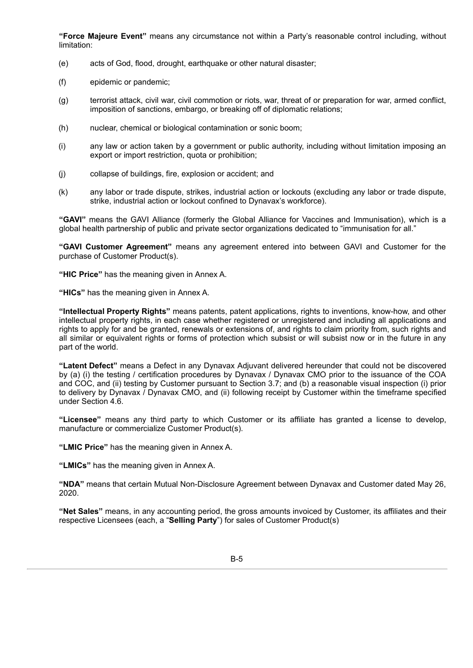**"Force Majeure Event"** means any circumstance not within a Party's reasonable control including, without limitation:

- (e) acts of God, flood, drought, earthquake or other natural disaster;
- (f) epidemic or pandemic;
- (g) terrorist attack, civil war, civil commotion or riots, war, threat of or preparation for war, armed conflict, imposition of sanctions, embargo, or breaking off of diplomatic relations;
- (h) nuclear, chemical or biological contamination or sonic boom;
- (i) any law or action taken by a government or public authority, including without limitation imposing an export or import restriction, quota or prohibition;
- (j) collapse of buildings, fire, explosion or accident; and
- (k) any labor or trade dispute, strikes, industrial action or lockouts (excluding any labor or trade dispute, strike, industrial action or lockout confined to Dynavax's workforce).

**"GAVI"** means the GAVI Alliance (formerly the Global Alliance for Vaccines and Immunisation), which is a global health partnership of public and private sector organizations dedicated to "immunisation for all."

**"GAVI Customer Agreement"** means any agreement entered into between GAVI and Customer for the purchase of Customer Product(s).

**"HIC Price"** has the meaning given in Annex A.

**"HICs"** has the meaning given in Annex A.

**"Intellectual Property Rights"** means patents, patent applications, rights to inventions, know-how, and other intellectual property rights, in each case whether registered or unregistered and including all applications and rights to apply for and be granted, renewals or extensions of, and rights to claim priority from, such rights and all similar or equivalent rights or forms of protection which subsist or will subsist now or in the future in any part of the world.

**"Latent Defect"** means a Defect in any Dynavax Adjuvant delivered hereunder that could not be discovered by (a) (i) the testing / certification procedures by Dynavax / Dynavax CMO prior to the issuance of the COA and COC, and (ii) testing by Customer pursuant to Section 3.7; and (b) a reasonable visual inspection (i) prior to delivery by Dynavax / Dynavax CMO, and (ii) following receipt by Customer within the timeframe specified under Section 4.6.

**"Licensee"** means any third party to which Customer or its affiliate has granted a license to develop, manufacture or commercialize Customer Product(s).

**"LMIC Price"** has the meaning given in Annex A.

**"LMICs"** has the meaning given in Annex A.

**"NDA"** means that certain Mutual Non-Disclosure Agreement between Dynavax and Customer dated May 26, 2020.

**"Net Sales"** means, in any accounting period, the gross amounts invoiced by Customer, its affiliates and their respective Licensees (each, a "**Selling Party**") for sales of Customer Product(s)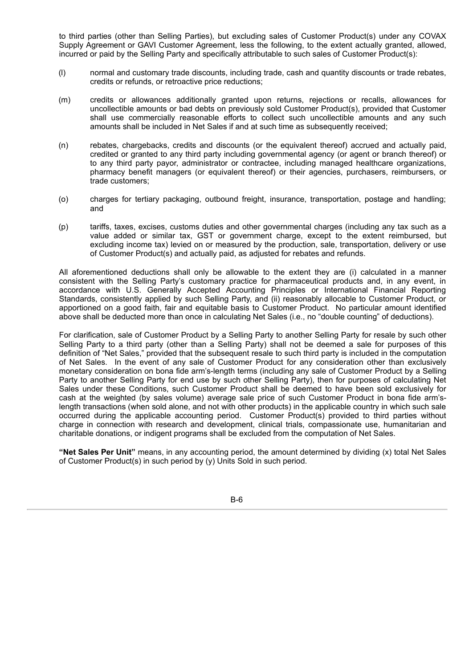to third parties (other than Selling Parties), but excluding sales of Customer Product(s) under any COVAX Supply Agreement or GAVI Customer Agreement, less the following, to the extent actually granted, allowed, incurred or paid by the Selling Party and specifically attributable to such sales of Customer Product(s):

- (l) normal and customary trade discounts, including trade, cash and quantity discounts or trade rebates, credits or refunds, or retroactive price reductions;
- (m) credits or allowances additionally granted upon returns, rejections or recalls, allowances for uncollectible amounts or bad debts on previously sold Customer Product(s), provided that Customer shall use commercially reasonable efforts to collect such uncollectible amounts and any such amounts shall be included in Net Sales if and at such time as subsequently received;
- (n) rebates, chargebacks, credits and discounts (or the equivalent thereof) accrued and actually paid, credited or granted to any third party including governmental agency (or agent or branch thereof) or to any third party payor, administrator or contractee, including managed healthcare organizations, pharmacy benefit managers (or equivalent thereof) or their agencies, purchasers, reimbursers, or trade customers;
- (o) charges for tertiary packaging, outbound freight, insurance, transportation, postage and handling; and
- (p) tariffs, taxes, excises, customs duties and other governmental charges (including any tax such as a value added or similar tax, GST or government charge, except to the extent reimbursed, but excluding income tax) levied on or measured by the production, sale, transportation, delivery or use of Customer Product(s) and actually paid, as adjusted for rebates and refunds.

All aforementioned deductions shall only be allowable to the extent they are (i) calculated in a manner consistent with the Selling Party's customary practice for pharmaceutical products and, in any event, in accordance with U.S. Generally Accepted Accounting Principles or International Financial Reporting Standards, consistently applied by such Selling Party, and (ii) reasonably allocable to Customer Product, or apportioned on a good faith, fair and equitable basis to Customer Product. No particular amount identified above shall be deducted more than once in calculating Net Sales (i.e., no "double counting" of deductions).

For clarification, sale of Customer Product by a Selling Party to another Selling Party for resale by such other Selling Party to a third party (other than a Selling Party) shall not be deemed a sale for purposes of this definition of "Net Sales," provided that the subsequent resale to such third party is included in the computation of Net Sales. In the event of any sale of Customer Product for any consideration other than exclusively monetary consideration on bona fide arm's-length terms (including any sale of Customer Product by a Selling Party to another Selling Party for end use by such other Selling Party), then for purposes of calculating Net Sales under these Conditions, such Customer Product shall be deemed to have been sold exclusively for cash at the weighted (by sales volume) average sale price of such Customer Product in bona fide arm'slength transactions (when sold alone, and not with other products) in the applicable country in which such sale occurred during the applicable accounting period. Customer Product(s) provided to third parties without charge in connection with research and development, clinical trials, compassionate use, humanitarian and charitable donations, or indigent programs shall be excluded from the computation of Net Sales.

**"Net Sales Per Unit"** means, in any accounting period, the amount determined by dividing (x) total Net Sales of Customer Product(s) in such period by (y) Units Sold in such period.

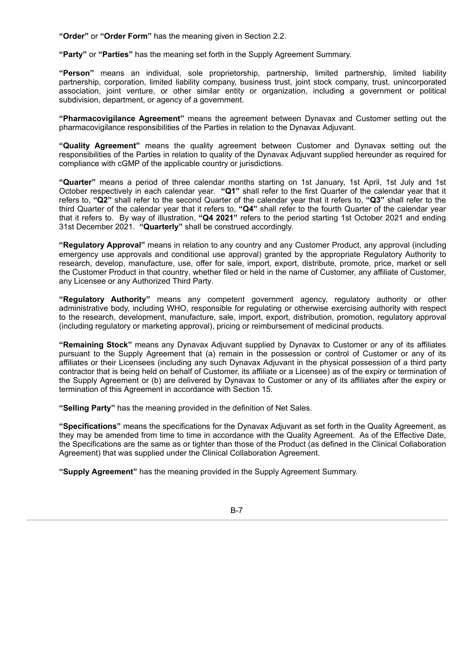**"Order"** or **"Order Form"** has the meaning given in Section 2.2.

**"Party"** or **"Parties"** has the meaning set forth in the Supply Agreement Summary.

**"Person"** means an individual, sole proprietorship, partnership, limited partnership, limited liability partnership, corporation, limited liability company, business trust, joint stock company, trust, unincorporated association, joint venture, or other similar entity or organization, including a government or political subdivision, department, or agency of a government.

**"Pharmacovigilance Agreement"** means the agreement between Dynavax and Customer setting out the pharmacovigilance responsibilities of the Parties in relation to the Dynavax Adjuvant.

**"Quality Agreement"** means the quality agreement between Customer and Dynavax setting out the responsibilities of the Parties in relation to quality of the Dynavax Adjuvant supplied hereunder as required for compliance with cGMP of the applicable country or jurisdictions.

**"Quarter"** means a period of three calendar months starting on 1st January, 1st April, 1st July and 1st October respectively in each calendar year. **"Q1"** shall refer to the first Quarter of the calendar year that it refers to, **"Q2"** shall refer to the second Quarter of the calendar year that it refers to, **"Q3"** shall refer to the third Quarter of the calendar year that it refers to, **"Q4"** shall refer to the fourth Quarter of the calendar year that it refers to. By way of illustration, **"Q4 2021"** refers to the period starting 1st October 2021 and ending 31st December 2021. **"Quarterly"** shall be construed accordingly.

**"Regulatory Approval"** means in relation to any country and any Customer Product, any approval (including emergency use approvals and conditional use approval) granted by the appropriate Regulatory Authority to research, develop, manufacture, use, offer for sale, import, export, distribute, promote, price, market or sell the Customer Product in that country, whether filed or held in the name of Customer, any affiliate of Customer, any Licensee or any Authorized Third Party.

**"Regulatory Authority"** means any competent government agency, regulatory authority or other administrative body, including WHO, responsible for regulating or otherwise exercising authority with respect to the research, development, manufacture, sale, import, export, distribution, promotion, regulatory approval (including regulatory or marketing approval), pricing or reimbursement of medicinal products.

**"Remaining Stock"** means any Dynavax Adjuvant supplied by Dynavax to Customer or any of its affiliates pursuant to the Supply Agreement that (a) remain in the possession or control of Customer or any of its affiliates or their Licensees (including any such Dynavax Adjuvant in the physical possession of a third party contractor that is being held on behalf of Customer, its affiliate or a Licensee) as of the expiry or termination of the Supply Agreement or (b) are delivered by Dynavax to Customer or any of its affiliates after the expiry or termination of this Agreement in accordance with Section 15.

**"Selling Party"** has the meaning provided in the definition of Net Sales.

**"Specifications"** means the specifications for the Dynavax Adjuvant as set forth in the Quality Agreement, as they may be amended from time to time in accordance with the Quality Agreement. As of the Effective Date, the Specifications are the same as or tighter than those of the Product (as defined in the Clinical Collaboration Agreement) that was supplied under the Clinical Collaboration Agreement.

**"Supply Agreement"** has the meaning provided in the Supply Agreement Summary.

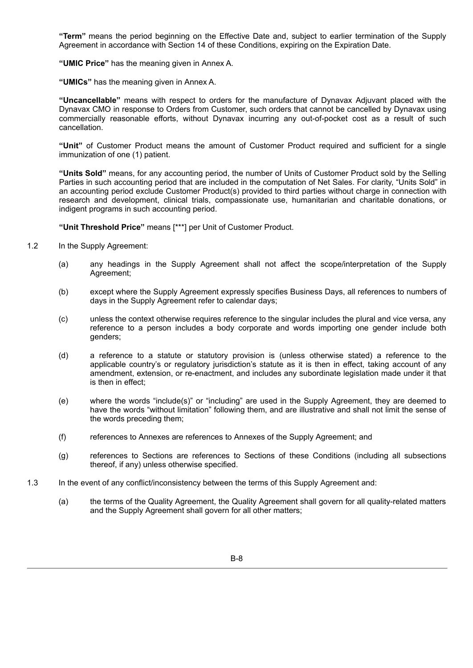**"Term"** means the period beginning on the Effective Date and, subject to earlier termination of the Supply Agreement in accordance with Section 14 of these Conditions, expiring on the Expiration Date.

**"UMIC Price"** has the meaning given in Annex A.

**"UMICs"** has the meaning given in Annex A.

**"Uncancellable"** means with respect to orders for the manufacture of Dynavax Adjuvant placed with the Dynavax CMO in response to Orders from Customer, such orders that cannot be cancelled by Dynavax using commercially reasonable efforts, without Dynavax incurring any out-of-pocket cost as a result of such cancellation.

**"Unit"** of Customer Product means the amount of Customer Product required and sufficient for a single immunization of one (1) patient.

**"Units Sold"** means, for any accounting period, the number of Units of Customer Product sold by the Selling Parties in such accounting period that are included in the computation of Net Sales. For clarity, "Units Sold" in an accounting period exclude Customer Product(s) provided to third parties without charge in connection with research and development, clinical trials, compassionate use, humanitarian and charitable donations, or indigent programs in such accounting period.

**"Unit Threshold Price"** means [\*\*\*] per Unit of Customer Product.

- 1.2 In the Supply Agreement:
	- (a) any headings in the Supply Agreement shall not affect the scope/interpretation of the Supply Agreement;
	- (b) except where the Supply Agreement expressly specifies Business Days, all references to numbers of days in the Supply Agreement refer to calendar days;
	- (c) unless the context otherwise requires reference to the singular includes the plural and vice versa, any reference to a person includes a body corporate and words importing one gender include both genders;
	- (d) a reference to a statute or statutory provision is (unless otherwise stated) a reference to the applicable country's or regulatory jurisdiction's statute as it is then in effect, taking account of any amendment, extension, or re-enactment, and includes any subordinate legislation made under it that is then in effect;
	- (e) where the words "include(s)" or "including" are used in the Supply Agreement, they are deemed to have the words "without limitation" following them, and are illustrative and shall not limit the sense of the words preceding them;
	- (f) references to Annexes are references to Annexes of the Supply Agreement; and
	- (g) references to Sections are references to Sections of these Conditions (including all subsections thereof, if any) unless otherwise specified.
- 1.3 In the event of any conflict/inconsistency between the terms of this Supply Agreement and:
	- (a) the terms of the Quality Agreement, the Quality Agreement shall govern for all quality-related matters and the Supply Agreement shall govern for all other matters;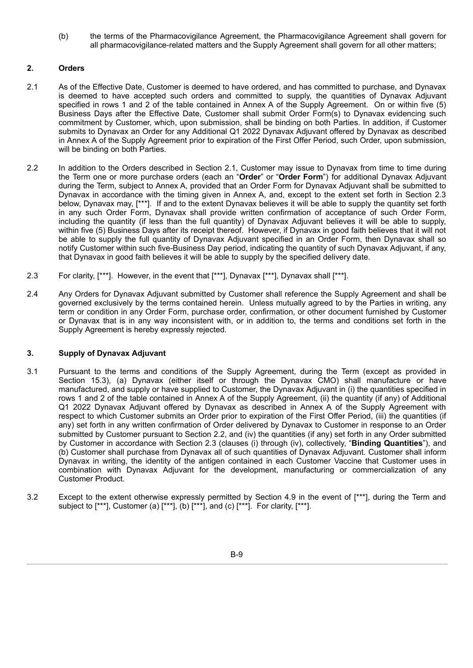(b) the terms of the Pharmacovigilance Agreement, the Pharmacovigilance Agreement shall govern for all pharmacovigilance-related matters and the Supply Agreement shall govern for all other matters;

# **2. Orders**

- 2.1 As of the Effective Date, Customer is deemed to have ordered, and has committed to purchase, and Dynavax is deemed to have accepted such orders and committed to supply, the quantities of Dynavax Adjuvant specified in rows 1 and 2 of the table contained in Annex A of the Supply Agreement. On or within five (5) Business Days after the Effective Date, Customer shall submit Order Form(s) to Dynavax evidencing such commitment by Customer, which, upon submission, shall be binding on both Parties. In addition, if Customer submits to Dynavax an Order for any Additional Q1 2022 Dynavax Adjuvant offered by Dynavax as described in Annex A of the Supply Agreement prior to expiration of the First Offer Period, such Order, upon submission, will be binding on both Parties.
- 2.2 In addition to the Orders described in Section 2.1, Customer may issue to Dynavax from time to time during the Term one or more purchase orders (each an "**Order**" or "**Order Form**") for additional Dynavax Adjuvant during the Term, subject to Annex A, provided that an Order Form for Dynavax Adjuvant shall be submitted to Dynavax in accordance with the timing given in Annex A, and, except to the extent set forth in Section 2.3 below, Dynavax may, [\*\*\*]. If and to the extent Dynavax believes it will be able to supply the quantity set forth in any such Order Form, Dynavax shall provide written confirmation of acceptance of such Order Form, including the quantity (if less than the full quantity) of Dynavax Adjuvant believes it will be able to supply, within five (5) Business Days after its receipt thereof. However, if Dynavax in good faith believes that it will not be able to supply the full quantity of Dynavax Adjuvant specified in an Order Form, then Dynavax shall so notify Customer within such five-Business Day period, indicating the quantity of such Dynavax Adjuvant, if any, that Dynavax in good faith believes it will be able to supply by the specified delivery date.
- 2.3 For clarity, [\*\*\*]. However, in the event that [\*\*\*], Dynavax [\*\*\*], Dynavax shall [\*\*\*].
- 2.4 Any Orders for Dynavax Adjuvant submitted by Customer shall reference the Supply Agreement and shall be governed exclusively by the terms contained herein. Unless mutually agreed to by the Parties in writing, any term or condition in any Order Form, purchase order, confirmation, or other document furnished by Customer or Dynavax that is in any way inconsistent with, or in addition to, the terms and conditions set forth in the Supply Agreement is hereby expressly rejected.

# **3. Supply of Dynavax Adjuvant**

- 3.1 Pursuant to the terms and conditions of the Supply Agreement, during the Term (except as provided in Section 15.3), (a) Dynavax (either itself or through the Dynavax CMO) shall manufacture or have manufactured, and supply or have supplied to Customer, the Dynavax Adjuvant in (i) the quantities specified in rows 1 and 2 of the table contained in Annex A of the Supply Agreement, (ii) the quantity (if any) of Additional Q1 2022 Dynavax Adjuvant offered by Dynavax as described in Annex A of the Supply Agreement with respect to which Customer submits an Order prior to expiration of the First Offer Period, (iii) the quantities (if any) set forth in any written confirmation of Order delivered by Dynavax to Customer in response to an Order submitted by Customer pursuant to Section 2.2, and (iv) the quantities (if any) set forth in any Order submitted by Customer in accordance with Section 2.3 (clauses (i) through (iv), collectively, "**Binding Quantities**"), and (b) Customer shall purchase from Dynavax all of such quantities of Dynavax Adjuvant. Customer shall inform Dynavax in writing, the identity of the antigen contained in each Customer Vaccine that Customer uses in combination with Dynavax Adjuvant for the development, manufacturing or commercialization of any Customer Product.
- 3.2 Except to the extent otherwise expressly permitted by Section 4.9 in the event of [\*\*\*], during the Term and subject to [\*\*\*], Customer (a) [\*\*\*], (b) [\*\*\*], and (c) [\*\*\*]. For clarity, [\*\*\*].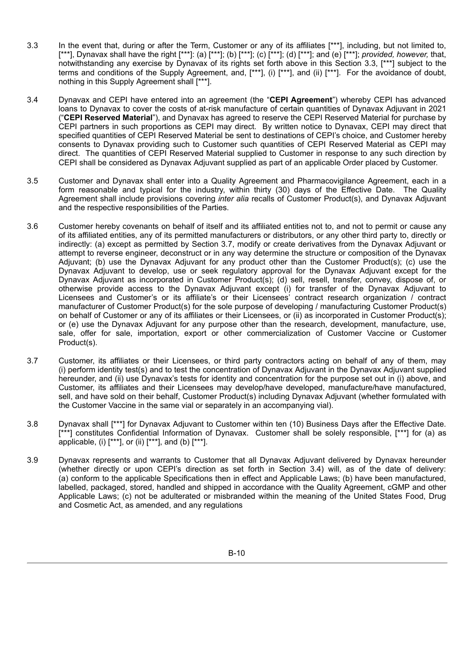- 3.3 In the event that, during or after the Term, Customer or any of its affiliates [\*\*\*], including, but not limited to, [\*\*\*], Dynavax shall have the right [\*\*\*]: (a) [\*\*\*]; (b) [\*\*\*]; (c) [\*\*\*]; (d) [\*\*\*]; and (e) [\*\*\*]; *provided, however, that,* notwithstanding any exercise by Dynavax of its rights set forth above in this Section 3.3, [\*\*\*] subject to the terms and conditions of the Supply Agreement, and, [\*\*\*], (i) [\*\*\*], and (ii) [\*\*\*]. For the avoidance of doubt, nothing in this Supply Agreement shall [\*\*\*].
- 3.4 Dynavax and CEPI have entered into an agreement (the "**CEPI Agreement**") whereby CEPI has advanced loans to Dynavax to cover the costs of at-risk manufacture of certain quantities of Dynavax Adjuvant in 2021 ("**CEPI Reserved Material**"), and Dynavax has agreed to reserve the CEPI Reserved Material for purchase by CEPI partners in such proportions as CEPI may direct. By written notice to Dynavax, CEPI may direct that specified quantities of CEPI Reserved Material be sent to destinations of CEPI's choice, and Customer hereby consents to Dynavax providing such to Customer such quantities of CEPI Reserved Material as CEPI may direct. The quantities of CEPI Reserved Material supplied to Customer in response to any such direction by CEPI shall be considered as Dynavax Adjuvant supplied as part of an applicable Order placed by Customer.
- 3.5 Customer and Dynavax shall enter into a Quality Agreement and Pharmacovigilance Agreement, each in a form reasonable and typical for the industry, within thirty (30) days of the Effective Date. The Quality Agreement shall include provisions covering *inter alia* recalls of Customer Product(s), and Dynavax Adjuvant and the respective responsibilities of the Parties.
- 3.6 Customer hereby covenants on behalf of itself and its affiliated entities not to, and not to permit or cause any of its affiliated entities, any of its permitted manufacturers or distributors, or any other third party to, directly or indirectly: (a) except as permitted by Section 3.7, modify or create derivatives from the Dynavax Adjuvant or attempt to reverse engineer, deconstruct or in any way determine the structure or composition of the Dynavax Adjuvant; (b) use the Dynavax Adjuvant for any product other than the Customer Product(s); (c) use the Dynavax Adjuvant to develop, use or seek regulatory approval for the Dynavax Adjuvant except for the Dynavax Adjuvant as incorporated in Customer Product(s); (d) sell, resell, transfer, convey, dispose of, or otherwise provide access to the Dynavax Adjuvant except (i) for transfer of the Dynavax Adjuvant to Licensees and Customer's or its affiliate's or their Licensees' contract research organization / contract manufacturer of Customer Product(s) for the sole purpose of developing / manufacturing Customer Product(s) on behalf of Customer or any of its affiliates or their Licensees, or (ii) as incorporated in Customer Product(s); or (e) use the Dynavax Adjuvant for any purpose other than the research, development, manufacture, use, sale, offer for sale, importation, export or other commercialization of Customer Vaccine or Customer Product(s).
- 3.7 Customer, its affiliates or their Licensees, or third party contractors acting on behalf of any of them, may (i) perform identity test(s) and to test the concentration of Dynavax Adjuvant in the Dynavax Adjuvant supplied hereunder, and (ii) use Dynavax's tests for identity and concentration for the purpose set out in (i) above, and Customer, its affiliates and their Licensees may develop/have developed, manufacture/have manufactured, sell, and have sold on their behalf, Customer Product(s) including Dynavax Adjuvant (whether formulated with the Customer Vaccine in the same vial or separately in an accompanying vial).
- 3.8 Dynavax shall [\*\*\*] for Dynavax Adjuvant to Customer within ten (10) Business Days after the Effective Date. [\*\*\*] constitutes Confidential Information of Dynavax. Customer shall be solely responsible, [\*\*\*] for (a) as applicable, (i) [\*\*\*], or (ii) [\*\*\*], and (b) [\*\*\*].
- 3.9 Dynavax represents and warrants to Customer that all Dynavax Adjuvant delivered by Dynavax hereunder (whether directly or upon CEPI's direction as set forth in Section 3.4) will, as of the date of delivery: (a) conform to the applicable Specifications then in effect and Applicable Laws; (b) have been manufactured, labelled, packaged, stored, handled and shipped in accordance with the Quality Agreement, cGMP and other Applicable Laws; (c) not be adulterated or misbranded within the meaning of the United States Food, Drug and Cosmetic Act, as amended, and any regulations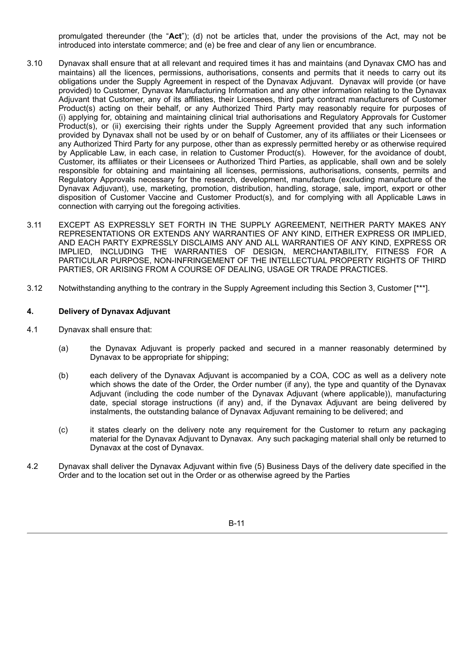promulgated thereunder (the "**Act**"); (d) not be articles that, under the provisions of the Act, may not be introduced into interstate commerce; and (e) be free and clear of any lien or encumbrance.

- 3.10 Dynavax shall ensure that at all relevant and required times it has and maintains (and Dynavax CMO has and maintains) all the licences, permissions, authorisations, consents and permits that it needs to carry out its obligations under the Supply Agreement in respect of the Dynavax Adjuvant. Dynavax will provide (or have provided) to Customer, Dynavax Manufacturing Information and any other information relating to the Dynavax Adjuvant that Customer, any of its affiliates, their Licensees, third party contract manufacturers of Customer Product(s) acting on their behalf, or any Authorized Third Party may reasonably require for purposes of (i) applying for, obtaining and maintaining clinical trial authorisations and Regulatory Approvals for Customer Product(s), or (ii) exercising their rights under the Supply Agreement provided that any such information provided by Dynavax shall not be used by or on behalf of Customer, any of its affiliates or their Licensees or any Authorized Third Party for any purpose, other than as expressly permitted hereby or as otherwise required by Applicable Law, in each case, in relation to Customer Product(s). However, for the avoidance of doubt, Customer, its affiliates or their Licensees or Authorized Third Parties, as applicable, shall own and be solely responsible for obtaining and maintaining all licenses, permissions, authorisations, consents, permits and Regulatory Approvals necessary for the research, development, manufacture (excluding manufacture of the Dynavax Adjuvant), use, marketing, promotion, distribution, handling, storage, sale, import, export or other disposition of Customer Vaccine and Customer Product(s), and for complying with all Applicable Laws in connection with carrying out the foregoing activities.
- 3.11 EXCEPT AS EXPRESSLY SET FORTH IN THE SUPPLY AGREEMENT, NEITHER PARTY MAKES ANY REPRESENTATIONS OR EXTENDS ANY WARRANTIES OF ANY KIND, EITHER EXPRESS OR IMPLIED, AND EACH PARTY EXPRESSLY DISCLAIMS ANY AND ALL WARRANTIES OF ANY KIND, EXPRESS OR IMPLIED, INCLUDING THE WARRANTIES OF DESIGN, MERCHANTABILITY, FITNESS FOR A PARTICULAR PURPOSE, NON-INFRINGEMENT OF THE INTELLECTUAL PROPERTY RIGHTS OF THIRD PARTIES, OR ARISING FROM A COURSE OF DEALING, USAGE OR TRADE PRACTICES.
- 3.12 Notwithstanding anything to the contrary in the Supply Agreement including this Section 3, Customer [\*\*\*].

# **4. Delivery of Dynavax Adjuvant**

- 4.1 Dynavax shall ensure that:
	- (a) the Dynavax Adjuvant is properly packed and secured in a manner reasonably determined by Dynavax to be appropriate for shipping;
	- (b) each delivery of the Dynavax Adjuvant is accompanied by a COA, COC as well as a delivery note which shows the date of the Order, the Order number (if any), the type and quantity of the Dynavax Adjuvant (including the code number of the Dynavax Adjuvant (where applicable)), manufacturing date, special storage instructions (if any) and, if the Dynavax Adjuvant are being delivered by instalments, the outstanding balance of Dynavax Adjuvant remaining to be delivered; and
	- (c) it states clearly on the delivery note any requirement for the Customer to return any packaging material for the Dynavax Adjuvant to Dynavax. Any such packaging material shall only be returned to Dynavax at the cost of Dynavax.
- 4.2 Dynavax shall deliver the Dynavax Adjuvant within five (5) Business Days of the delivery date specified in the Order and to the location set out in the Order or as otherwise agreed by the Parties

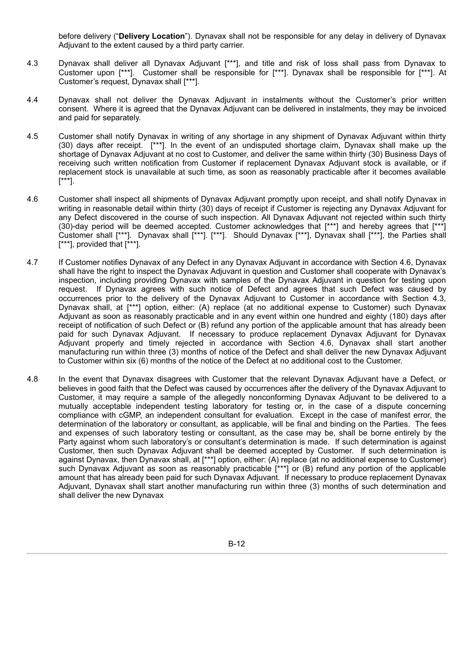before delivery ("**Delivery Location**"). Dynavax shall not be responsible for any delay in delivery of Dynavax Adjuvant to the extent caused by a third party carrier.

- 4.3 Dynavax shall deliver all Dynavax Adjuvant [\*\*\*], and title and risk of loss shall pass from Dynavax to Customer upon [\*\*\*]. Customer shall be responsible for [\*\*\*]. Dynavax shall be responsible for [\*\*\*]. At Customer's request, Dynavax shall [\*\*\*].
- 4.4 Dynavax shall not deliver the Dynavax Adjuvant in instalments without the Customer's prior written consent. Where it is agreed that the Dynavax Adjuvant can be delivered in instalments, they may be invoiced and paid for separately.
- 4.5 Customer shall notify Dynavax in writing of any shortage in any shipment of Dynavax Adjuvant within thirty (30) days after receipt. [\*\*\*]. In the event of an undisputed shortage claim, Dynavax shall make up the shortage of Dynavax Adjuvant at no cost to Customer, and deliver the same within thirty (30) Business Days of receiving such written notification from Customer if replacement Dynavax Adjuvant stock is available, or if replacement stock is unavailable at such time, as soon as reasonably practicable after it becomes available [\*\*\*].
- 4.6 Customer shall inspect all shipments of Dynavax Adjuvant promptly upon receipt, and shall notify Dynavax in writing in reasonable detail within thirty (30) days of receipt if Customer is rejecting any Dynavax Adjuvant for any Defect discovered in the course of such inspection. All Dynavax Adjuvant not rejected within such thirty (30)-day period will be deemed accepted. Customer acknowledges that [\*\*\*] and hereby agrees that [\*\*\*] Customer shall [\*\*\*]. Dynavax shall [\*\*\*]. [\*\*\*]. Should Dynavax [\*\*\*], Dynavax shall [\*\*\*], the Parties shall [\*\*\*], provided that  $\left[\right.^*$ \*\*].
- 4.7 If Customer notifies Dynavax of any Defect in any Dynavax Adjuvant in accordance with Section 4.6, Dynavax shall have the right to inspect the Dynavax Adjuvant in question and Customer shall cooperate with Dynavax's inspection, including providing Dynavax with samples of the Dynavax Adjuvant in question for testing upon request. If Dynavax agrees with such notice of Defect and agrees that such Defect was caused by occurrences prior to the delivery of the Dynavax Adjuvant to Customer in accordance with Section 4.3, Dynavax shall, at [\*\*\*] option, either: (A) replace (at no additional expense to Customer) such Dynavax Adjuvant as soon as reasonably practicable and in any event within one hundred and eighty (180) days after receipt of notification of such Defect or (B) refund any portion of the applicable amount that has already been paid for such Dynavax Adjuvant. If necessary to produce replacement Dynavax Adjuvant for Dynavax Adjuvant properly and timely rejected in accordance with Section 4.6, Dynavax shall start another manufacturing run within three (3) months of notice of the Defect and shall deliver the new Dynavax Adjuvant to Customer within six (6) months of the notice of the Defect at no additional cost to the Customer.
- 4.8 In the event that Dynavax disagrees with Customer that the relevant Dynavax Adjuvant have a Defect, or believes in good faith that the Defect was caused by occurrences after the delivery of the Dynavax Adjuvant to Customer, it may require a sample of the allegedly nonconforming Dynavax Adjuvant to be delivered to a mutually acceptable independent testing laboratory for testing or, in the case of a dispute concerning compliance with cGMP, an independent consultant for evaluation. Except in the case of manifest error, the determination of the laboratory or consultant, as applicable, will be final and binding on the Parties. The fees and expenses of such laboratory testing or consultant, as the case may be, shall be borne entirely by the Party against whom such laboratory's or consultant's determination is made. If such determination is against Customer, then such Dynavax Adjuvant shall be deemed accepted by Customer. If such determination is against Dynavax, then Dynavax shall, at [\*\*\*] option, either: (A) replace (at no additional expense to Customer) such Dynavax Adjuvant as soon as reasonably practicable [\*\*\*] or (B) refund any portion of the applicable amount that has already been paid for such Dynavax Adjuvant. If necessary to produce replacement Dynavax Adjuvant, Dynavax shall start another manufacturing run within three (3) months of such determination and shall deliver the new Dynavax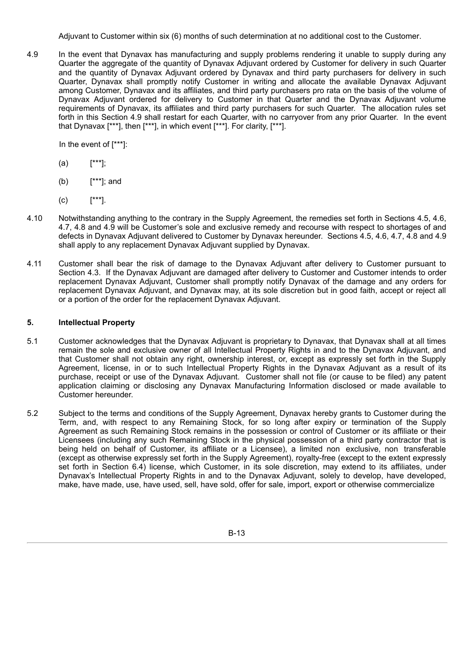Adjuvant to Customer within six (6) months of such determination at no additional cost to the Customer.

4.9 In the event that Dynavax has manufacturing and supply problems rendering it unable to supply during any Quarter the aggregate of the quantity of Dynavax Adjuvant ordered by Customer for delivery in such Quarter and the quantity of Dynavax Adjuvant ordered by Dynavax and third party purchasers for delivery in such Quarter, Dynavax shall promptly notify Customer in writing and allocate the available Dynavax Adjuvant among Customer, Dynavax and its affiliates, and third party purchasers pro rata on the basis of the volume of Dynavax Adjuvant ordered for delivery to Customer in that Quarter and the Dynavax Adjuvant volume requirements of Dynavax, its affiliates and third party purchasers for such Quarter. The allocation rules set forth in this Section 4.9 shall restart for each Quarter, with no carryover from any prior Quarter. In the event that Dynavax [\*\*\*], then [\*\*\*], in which event [\*\*\*]. For clarity, [\*\*\*].

In the event of [\*\*\*]:

- (a) [\*\*\*];
- (b) [\*\*\*]; and
- (c) [\*\*\*].
- 4.10 Notwithstanding anything to the contrary in the Supply Agreement, the remedies set forth in Sections 4.5, 4.6, 4.7, 4.8 and 4.9 will be Customer's sole and exclusive remedy and recourse with respect to shortages of and defects in Dynavax Adjuvant delivered to Customer by Dynavax hereunder. Sections 4.5, 4.6, 4.7, 4.8 and 4.9 shall apply to any replacement Dynavax Adjuvant supplied by Dynavax.
- 4.11 Customer shall bear the risk of damage to the Dynavax Adjuvant after delivery to Customer pursuant to Section 4.3. If the Dynavax Adjuvant are damaged after delivery to Customer and Customer intends to order replacement Dynavax Adjuvant, Customer shall promptly notify Dynavax of the damage and any orders for replacement Dynavax Adjuvant, and Dynavax may, at its sole discretion but in good faith, accept or reject all or a portion of the order for the replacement Dynavax Adjuvant.

# **5. Intellectual Property**

- 5.1 Customer acknowledges that the Dynavax Adjuvant is proprietary to Dynavax, that Dynavax shall at all times remain the sole and exclusive owner of all Intellectual Property Rights in and to the Dynavax Adjuvant, and that Customer shall not obtain any right, ownership interest, or, except as expressly set forth in the Supply Agreement, license, in or to such Intellectual Property Rights in the Dynavax Adjuvant as a result of its purchase, receipt or use of the Dynavax Adjuvant. Customer shall not file (or cause to be filed) any patent application claiming or disclosing any Dynavax Manufacturing Information disclosed or made available to Customer hereunder.
- 5.2 Subject to the terms and conditions of the Supply Agreement, Dynavax hereby grants to Customer during the Term, and, with respect to any Remaining Stock, for so long after expiry or termination of the Supply Agreement as such Remaining Stock remains in the possession or control of Customer or its affiliate or their Licensees (including any such Remaining Stock in the physical possession of a third party contractor that is being held on behalf of Customer, its affiliate or a Licensee), a limited non exclusive, non transferable (except as otherwise expressly set forth in the Supply Agreement), royalty-free (except to the extent expressly set forth in Section 6.4) license, which Customer, in its sole discretion, may extend to its affiliates, under Dynavax's Intellectual Property Rights in and to the Dynavax Adjuvant, solely to develop, have developed, make, have made, use, have used, sell, have sold, offer for sale, import, export or otherwise commercialize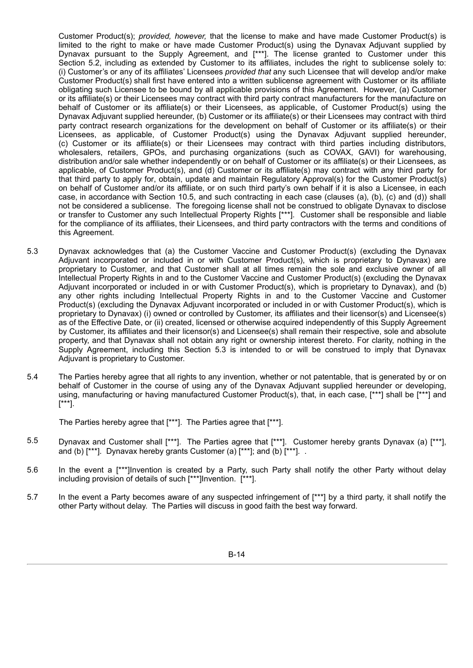Customer Product(s); *provided, however,* that the license to make and have made Customer Product(s) is limited to the right to make or have made Customer Product(s) using the Dynavax Adjuvant supplied by Dynavax pursuant to the Supply Agreement, and [\*\*\*]. The license granted to Customer under this Section 5.2, including as extended by Customer to its affiliates, includes the right to sublicense solely to: (i) Customer's or any of its affiliates' Licensees *provided that* any such Licensee that will develop and/or make Customer Product(s) shall first have entered into a written sublicense agreement with Customer or its affiliate obligating such Licensee to be bound by all applicable provisions of this Agreement. However, (a) Customer or its affiliate(s) or their Licensees may contract with third party contract manufacturers for the manufacture on behalf of Customer or its affiliate(s) or their Licensees, as applicable, of Customer Product(s) using the Dynavax Adjuvant supplied hereunder, (b) Customer or its affiliate(s) or their Licensees may contract with third party contract research organizations for the development on behalf of Customer or its affiliate(s) or their Licensees, as applicable, of Customer Product(s) using the Dynavax Adjuvant supplied hereunder, (c) Customer or its affiliate(s) or their Licensees may contract with third parties including distributors, wholesalers, retailers, GPOs, and purchasing organizations (such as COVAX, GAVI) for warehousing, distribution and/or sale whether independently or on behalf of Customer or its affiliate(s) or their Licensees, as applicable, of Customer Product(s), and (d) Customer or its affiliate(s) may contract with any third party for that third party to apply for, obtain, update and maintain Regulatory Approval(s) for the Customer Product(s) on behalf of Customer and/or its affiliate, or on such third party's own behalf if it is also a Licensee, in each case, in accordance with Section 10.5, and such contracting in each case (clauses (a), (b), (c) and (d)) shall not be considered a sublicense. The foregoing license shall not be construed to obligate Dynavax to disclose or transfer to Customer any such Intellectual Property Rights [\*\*\*]. Customer shall be responsible and liable for the compliance of its affiliates, their Licensees, and third party contractors with the terms and conditions of this Agreement.

- 5.3 Dynavax acknowledges that (a) the Customer Vaccine and Customer Product(s) (excluding the Dynavax Adjuvant incorporated or included in or with Customer Product(s), which is proprietary to Dynavax) are proprietary to Customer, and that Customer shall at all times remain the sole and exclusive owner of all Intellectual Property Rights in and to the Customer Vaccine and Customer Product(s) (excluding the Dynavax Adjuvant incorporated or included in or with Customer Product(s), which is proprietary to Dynavax), and (b) any other rights including Intellectual Property Rights in and to the Customer Vaccine and Customer Product(s) (excluding the Dynavax Adjuvant incorporated or included in or with Customer Product(s), which is proprietary to Dynavax) (i) owned or controlled by Customer, its affiliates and their licensor(s) and Licensee(s) as of the Effective Date, or (ii) created, licensed or otherwise acquired independently of this Supply Agreement by Customer, its affiliates and their licensor(s) and Licensee(s) shall remain their respective, sole and absolute property, and that Dynavax shall not obtain any right or ownership interest thereto. For clarity, nothing in the Supply Agreement, including this Section 5.3 is intended to or will be construed to imply that Dynavax Adjuvant is proprietary to Customer.
- 5.4 The Parties hereby agree that all rights to any invention, whether or not patentable, that is generated by or on behalf of Customer in the course of using any of the Dynavax Adjuvant supplied hereunder or developing, using, manufacturing or having manufactured Customer Product(s), that, in each case, [\*\*\*] shall be [\*\*\*] and [\*\*\*].

The Parties hereby agree that [\*\*\*]. The Parties agree that [\*\*\*].

- 5.5 Dynavax and Customer shall [\*\*\*]. The Parties agree that [\*\*\*]. Customer hereby grants Dynavax (a) [\*\*\*], and (b)  $[***]$ . Dynavax hereby grants Customer (a)  $[***]$ ; and (b)  $[***]$ .
- 5.6 In the event a [\*\*\*]Invention is created by a Party, such Party shall notify the other Party without delay including provision of details of such [\*\*\*]Invention. [\*\*\*].
- 5.7 In the event a Party becomes aware of any suspected infringement of [\*\*\*] by a third party, it shall notify the other Party without delay. The Parties will discuss in good faith the best way forward.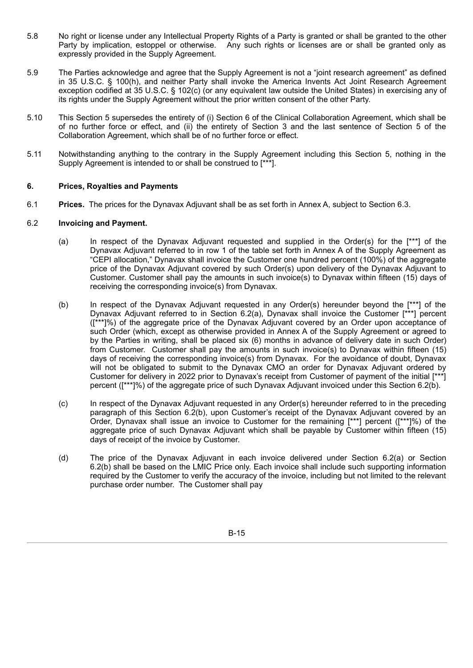- 5.8 No right or license under any Intellectual Property Rights of a Party is granted or shall be granted to the other Party by implication, estoppel or otherwise. Any such rights or licenses are or shall be granted only as expressly provided in the Supply Agreement.
- 5.9 The Parties acknowledge and agree that the Supply Agreement is not a "joint research agreement" as defined in 35 U.S.C. § 100(h), and neither Party shall invoke the America Invents Act Joint Research Agreement exception codified at 35 U.S.C. § 102(c) (or any equivalent law outside the United States) in exercising any of its rights under the Supply Agreement without the prior written consent of the other Party.
- 5.10 This Section 5 supersedes the entirety of (i) Section 6 of the Clinical Collaboration Agreement, which shall be of no further force or effect, and (ii) the entirety of Section 3 and the last sentence of Section 5 of the Collaboration Agreement, which shall be of no further force or effect.
- 5.11 Notwithstanding anything to the contrary in the Supply Agreement including this Section 5, nothing in the Supply Agreement is intended to or shall be construed to [\*\*\*].

# **6. Prices, Royalties and Payments**

6.1 **Prices.** The prices for the Dynavax Adjuvant shall be as set forth in Annex A, subject to Section 6.3.

#### 6.2 **Invoicing and Payment.**

- (a) In respect of the Dynavax Adjuvant requested and supplied in the Order(s) for the [\*\*\*] of the Dynavax Adjuvant referred to in row 1 of the table set forth in Annex A of the Supply Agreement as "CEPI allocation," Dynavax shall invoice the Customer one hundred percent (100%) of the aggregate price of the Dynavax Adjuvant covered by such Order(s) upon delivery of the Dynavax Adjuvant to Customer. Customer shall pay the amounts in such invoice(s) to Dynavax within fifteen (15) days of receiving the corresponding invoice(s) from Dynavax.
- (b) In respect of the Dynavax Adjuvant requested in any Order(s) hereunder beyond the [\*\*\*] of the Dynavax Adjuvant referred to in Section 6.2(a), Dynavax shall invoice the Customer [\*\*\*] percent ([\*\*\*]%) of the aggregate price of the Dynavax Adjuvant covered by an Order upon acceptance of such Order (which, except as otherwise provided in Annex A of the Supply Agreement or agreed to by the Parties in writing, shall be placed six (6) months in advance of delivery date in such Order) from Customer. Customer shall pay the amounts in such invoice(s) to Dynavax within fifteen (15) days of receiving the corresponding invoice(s) from Dynavax. For the avoidance of doubt, Dynavax will not be obligated to submit to the Dynavax CMO an order for Dynavax Adjuvant ordered by Customer for delivery in 2022 prior to Dynavax's receipt from Customer of payment of the initial [\*\*\*] percent ([\*\*\*]%) of the aggregate price of such Dynavax Adjuvant invoiced under this Section 6.2(b).
- (c) In respect of the Dynavax Adjuvant requested in any Order(s) hereunder referred to in the preceding paragraph of this Section 6.2(b), upon Customer's receipt of the Dynavax Adjuvant covered by an Order, Dynavax shall issue an invoice to Customer for the remaining [\*\*\*] percent ([\*\*\*]%) of the aggregate price of such Dynavax Adjuvant which shall be payable by Customer within fifteen (15) days of receipt of the invoice by Customer.
- (d) The price of the Dynavax Adjuvant in each invoice delivered under Section 6.2(a) or Section 6.2(b) shall be based on the LMIC Price only. Each invoice shall include such supporting information required by the Customer to verify the accuracy of the invoice, including but not limited to the relevant purchase order number. The Customer shall pay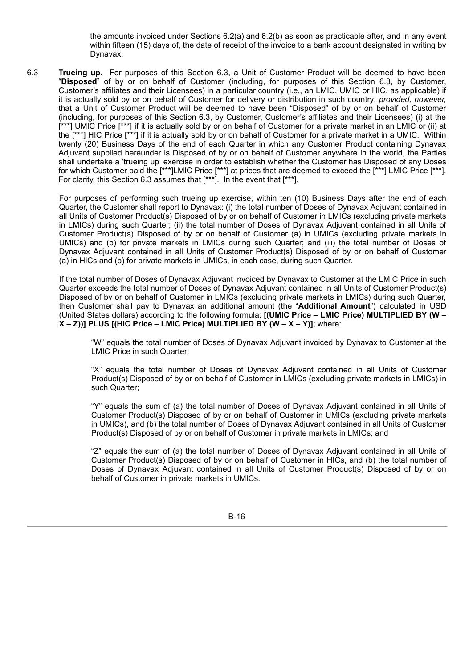the amounts invoiced under Sections 6.2(a) and 6.2(b) as soon as practicable after, and in any event within fifteen (15) days of, the date of receipt of the invoice to a bank account designated in writing by Dynavax.

6.3 **Trueing up.** For purposes of this Section 6.3, a Unit of Customer Product will be deemed to have been "**Disposed**" of by or on behalf of Customer (including, for purposes of this Section 6.3, by Customer, Customer's affiliates and their Licensees) in a particular country (i.e., an LMIC, UMIC or HIC, as applicable) if it is actually sold by or on behalf of Customer for delivery or distribution in such country; *provided, however,* that a Unit of Customer Product will be deemed to have been "Disposed" of by or on behalf of Customer (including, for purposes of this Section 6.3, by Customer, Customer's affiliates and their Licensees) (i) at the  $[***]$  UMIC Price  $[***]$  if it is actually sold by or on behalf of Customer for a private market in an LMIC or (ii) at the [\*\*\*] HIC Price [\*\*\*] if it is actually sold by or on behalf of Customer for a private market in a UMIC. Within twenty (20) Business Days of the end of each Quarter in which any Customer Product containing Dynavax Adjuvant supplied hereunder is Disposed of by or on behalf of Customer anywhere in the world, the Parties shall undertake a 'trueing up' exercise in order to establish whether the Customer has Disposed of any Doses for which Customer paid the [\*\*\*]LMIC Price [\*\*\*] at prices that are deemed to exceed the [\*\*\*] LMIC Price [\*\*\*]. For clarity, this Section 6.3 assumes that [\*\*\*]. In the event that [\*\*\*].

For purposes of performing such trueing up exercise, within ten (10) Business Days after the end of each Quarter, the Customer shall report to Dynavax: (i) the total number of Doses of Dynavax Adjuvant contained in all Units of Customer Product(s) Disposed of by or on behalf of Customer in LMICs (excluding private markets in LMICs) during such Quarter; (ii) the total number of Doses of Dynavax Adjuvant contained in all Units of Customer Product(s) Disposed of by or on behalf of Customer (a) in UMICs (excluding private markets in UMICs) and (b) for private markets in LMICs during such Quarter; and (iii) the total number of Doses of Dynavax Adjuvant contained in all Units of Customer Product(s) Disposed of by or on behalf of Customer (a) in HICs and (b) for private markets in UMICs, in each case, during such Quarter.

If the total number of Doses of Dynavax Adjuvant invoiced by Dynavax to Customer at the LMIC Price in such Quarter exceeds the total number of Doses of Dynavax Adjuvant contained in all Units of Customer Product(s) Disposed of by or on behalf of Customer in LMICs (excluding private markets in LMICs) during such Quarter, then Customer shall pay to Dynavax an additional amount (the "**Additional Amount**") calculated in USD (United States dollars) according to the following formula: **[(UMIC Price – LMIC Price) MULTIPLIED BY (W – X – Z))] PLUS [(HIC Price – LMIC Price) MULTIPLIED BY (W – X – Y)]**; where:

"W" equals the total number of Doses of Dynavax Adjuvant invoiced by Dynavax to Customer at the LMIC Price in such Quarter;

"X" equals the total number of Doses of Dynavax Adjuvant contained in all Units of Customer Product(s) Disposed of by or on behalf of Customer in LMICs (excluding private markets in LMICs) in such Quarter;

"Y" equals the sum of (a) the total number of Doses of Dynavax Adjuvant contained in all Units of Customer Product(s) Disposed of by or on behalf of Customer in UMICs (excluding private markets in UMICs), and (b) the total number of Doses of Dynavax Adjuvant contained in all Units of Customer Product(s) Disposed of by or on behalf of Customer in private markets in LMICs; and

"Z" equals the sum of (a) the total number of Doses of Dynavax Adjuvant contained in all Units of Customer Product(s) Disposed of by or on behalf of Customer in HICs, and (b) the total number of Doses of Dynavax Adjuvant contained in all Units of Customer Product(s) Disposed of by or on behalf of Customer in private markets in UMICs.

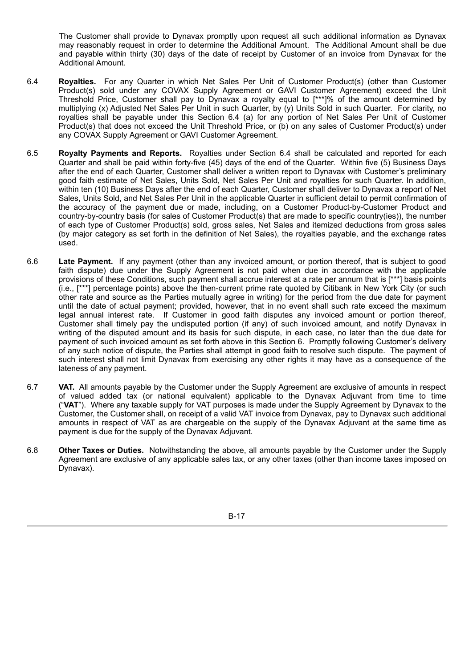The Customer shall provide to Dynavax promptly upon request all such additional information as Dynavax may reasonably request in order to determine the Additional Amount. The Additional Amount shall be due and payable within thirty (30) days of the date of receipt by Customer of an invoice from Dynavax for the Additional Amount.

- 6.4 **Royalties.** For any Quarter in which Net Sales Per Unit of Customer Product(s) (other than Customer Product(s) sold under any COVAX Supply Agreement or GAVI Customer Agreement) exceed the Unit Threshold Price, Customer shall pay to Dynavax a royalty equal to [\*\*\*]% of the amount determined by multiplying (x) Adjusted Net Sales Per Unit in such Quarter, by (y) Units Sold in such Quarter. For clarity, no royalties shall be payable under this Section 6.4 (a) for any portion of Net Sales Per Unit of Customer Product(s) that does not exceed the Unit Threshold Price, or (b) on any sales of Customer Product(s) under any COVAX Supply Agreement or GAVI Customer Agreement.
- 6.5 **Royalty Payments and Reports.** Royalties under Section 6.4 shall be calculated and reported for each Quarter and shall be paid within forty-five (45) days of the end of the Quarter. Within five (5) Business Days after the end of each Quarter, Customer shall deliver a written report to Dynavax with Customer's preliminary good faith estimate of Net Sales, Units Sold, Net Sales Per Unit and royalties for such Quarter. In addition, within ten (10) Business Days after the end of each Quarter, Customer shall deliver to Dynavax a report of Net Sales, Units Sold, and Net Sales Per Unit in the applicable Quarter in sufficient detail to permit confirmation of the accuracy of the payment due or made, including, on a Customer Product-by-Customer Product and country-by-country basis (for sales of Customer Product(s) that are made to specific country(ies)), the number of each type of Customer Product(s) sold, gross sales, Net Sales and itemized deductions from gross sales (by major category as set forth in the definition of Net Sales), the royalties payable, and the exchange rates used.
- 6.6 **Late Payment.** If any payment (other than any invoiced amount, or portion thereof, that is subject to good faith dispute) due under the Supply Agreement is not paid when due in accordance with the applicable provisions of these Conditions, such payment shall accrue interest at a rate per annum that is [\*\*\*] basis points (i.e., [\*\*\*] percentage points) above the then-current prime rate quoted by Citibank in New York City (or such other rate and source as the Parties mutually agree in writing) for the period from the due date for payment until the date of actual payment; provided, however, that in no event shall such rate exceed the maximum legal annual interest rate. If Customer in good faith disputes any invoiced amount or portion thereof, Customer shall timely pay the undisputed portion (if any) of such invoiced amount, and notify Dynavax in writing of the disputed amount and its basis for such dispute, in each case, no later than the due date for payment of such invoiced amount as set forth above in this Section 6. Promptly following Customer's delivery of any such notice of dispute, the Parties shall attempt in good faith to resolve such dispute. The payment of such interest shall not limit Dynavax from exercising any other rights it may have as a consequence of the lateness of any payment.
- 6.7 **VAT.** All amounts payable by the Customer under the Supply Agreement are exclusive of amounts in respect of valued added tax (or national equivalent) applicable to the Dynavax Adjuvant from time to time ("**VAT**"). Where any taxable supply for VAT purposes is made under the Supply Agreement by Dynavax to the Customer, the Customer shall, on receipt of a valid VAT invoice from Dynavax, pay to Dynavax such additional amounts in respect of VAT as are chargeable on the supply of the Dynavax Adjuvant at the same time as payment is due for the supply of the Dynavax Adjuvant.
- 6.8 **Other Taxes or Duties.** Notwithstanding the above, all amounts payable by the Customer under the Supply Agreement are exclusive of any applicable sales tax, or any other taxes (other than income taxes imposed on Dynavax).

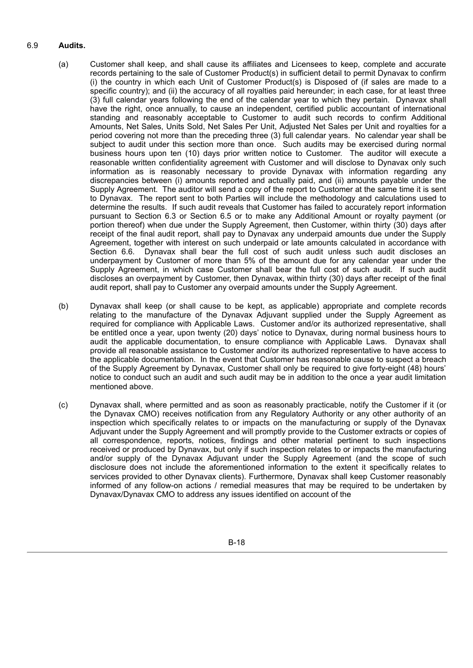# 6.9 **Audits.**

- (a) Customer shall keep, and shall cause its affiliates and Licensees to keep, complete and accurate records pertaining to the sale of Customer Product(s) in sufficient detail to permit Dynavax to confirm (i) the country in which each Unit of Customer Product(s) is Disposed of (if sales are made to a specific country); and (ii) the accuracy of all royalties paid hereunder; in each case, for at least three (3) full calendar years following the end of the calendar year to which they pertain. Dynavax shall have the right, once annually, to cause an independent, certified public accountant of international standing and reasonably acceptable to Customer to audit such records to confirm Additional Amounts, Net Sales, Units Sold, Net Sales Per Unit, Adjusted Net Sales per Unit and royalties for a period covering not more than the preceding three (3) full calendar years. No calendar year shall be subject to audit under this section more than once. Such audits may be exercised during normal business hours upon ten (10) days prior written notice to Customer. The auditor will execute a reasonable written confidentiality agreement with Customer and will disclose to Dynavax only such information as is reasonably necessary to provide Dynavax with information regarding any discrepancies between (i) amounts reported and actually paid, and (ii) amounts payable under the Supply Agreement. The auditor will send a copy of the report to Customer at the same time it is sent to Dynavax. The report sent to both Parties will include the methodology and calculations used to determine the results. If such audit reveals that Customer has failed to accurately report information pursuant to Section 6.3 or Section 6.5 or to make any Additional Amount or royalty payment (or portion thereof) when due under the Supply Agreement, then Customer, within thirty (30) days after receipt of the final audit report, shall pay to Dynavax any underpaid amounts due under the Supply Agreement, together with interest on such underpaid or late amounts calculated in accordance with Section 6.6. Dynavax shall bear the full cost of such audit unless such audit discloses an underpayment by Customer of more than 5% of the amount due for any calendar year under the Supply Agreement, in which case Customer shall bear the full cost of such audit. If such audit discloses an overpayment by Customer, then Dynavax, within thirty (30) days after receipt of the final audit report, shall pay to Customer any overpaid amounts under the Supply Agreement.
- (b) Dynavax shall keep (or shall cause to be kept, as applicable) appropriate and complete records relating to the manufacture of the Dynavax Adjuvant supplied under the Supply Agreement as required for compliance with Applicable Laws. Customer and/or its authorized representative, shall be entitled once a year, upon twenty (20) days' notice to Dynavax, during normal business hours to audit the applicable documentation, to ensure compliance with Applicable Laws. Dynavax shall provide all reasonable assistance to Customer and/or its authorized representative to have access to the applicable documentation. In the event that Customer has reasonable cause to suspect a breach of the Supply Agreement by Dynavax, Customer shall only be required to give forty-eight (48) hours' notice to conduct such an audit and such audit may be in addition to the once a year audit limitation mentioned above.
- (c) Dynavax shall, where permitted and as soon as reasonably practicable, notify the Customer if it (or the Dynavax CMO) receives notification from any Regulatory Authority or any other authority of an inspection which specifically relates to or impacts on the manufacturing or supply of the Dynavax Adjuvant under the Supply Agreement and will promptly provide to the Customer extracts or copies of all correspondence, reports, notices, findings and other material pertinent to such inspections received or produced by Dynavax, but only if such inspection relates to or impacts the manufacturing and/or supply of the Dynavax Adjuvant under the Supply Agreement (and the scope of such disclosure does not include the aforementioned information to the extent it specifically relates to services provided to other Dynavax clients). Furthermore, Dynavax shall keep Customer reasonably informed of any follow-on actions / remedial measures that may be required to be undertaken by Dynavax/Dynavax CMO to address any issues identified on account of the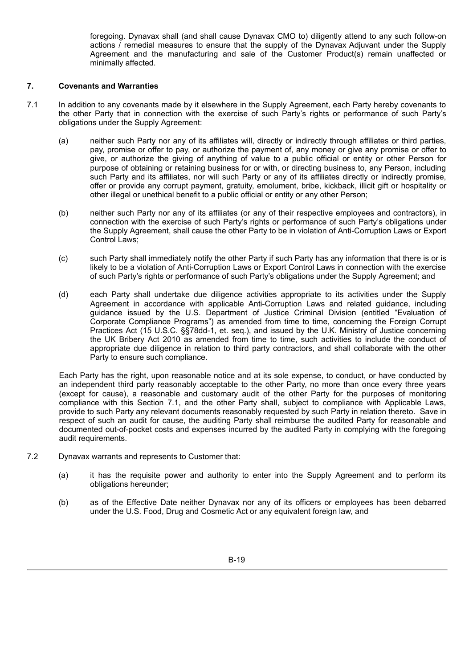foregoing. Dynavax shall (and shall cause Dynavax CMO to) diligently attend to any such follow-on actions / remedial measures to ensure that the supply of the Dynavax Adjuvant under the Supply Agreement and the manufacturing and sale of the Customer Product(s) remain unaffected or minimally affected.

### **7. Covenants and Warranties**

- 7.1 In addition to any covenants made by it elsewhere in the Supply Agreement, each Party hereby covenants to the other Party that in connection with the exercise of such Party's rights or performance of such Party's obligations under the Supply Agreement:
	- (a) neither such Party nor any of its affiliates will, directly or indirectly through affiliates or third parties, pay, promise or offer to pay, or authorize the payment of, any money or give any promise or offer to give, or authorize the giving of anything of value to a public official or entity or other Person for purpose of obtaining or retaining business for or with, or directing business to, any Person, including such Party and its affiliates, nor will such Party or any of its affiliates directly or indirectly promise, offer or provide any corrupt payment, gratuity, emolument, bribe, kickback, illicit gift or hospitality or other illegal or unethical benefit to a public official or entity or any other Person;
	- (b) neither such Party nor any of its affiliates (or any of their respective employees and contractors), in connection with the exercise of such Party's rights or performance of such Party's obligations under the Supply Agreement, shall cause the other Party to be in violation of Anti-Corruption Laws or Export Control Laws;
	- (c) such Party shall immediately notify the other Party if such Party has any information that there is or is likely to be a violation of Anti-Corruption Laws or Export Control Laws in connection with the exercise of such Party's rights or performance of such Party's obligations under the Supply Agreement; and
	- (d) each Party shall undertake due diligence activities appropriate to its activities under the Supply Agreement in accordance with applicable Anti-Corruption Laws and related guidance, including guidance issued by the U.S. Department of Justice Criminal Division (entitled "Evaluation of Corporate Compliance Programs") as amended from time to time, concerning the Foreign Corrupt Practices Act (15 U.S.C. §§78dd-1, et. seq.), and issued by the U.K. Ministry of Justice concerning the UK Bribery Act 2010 as amended from time to time, such activities to include the conduct of appropriate due diligence in relation to third party contractors, and shall collaborate with the other Party to ensure such compliance.

Each Party has the right, upon reasonable notice and at its sole expense, to conduct, or have conducted by an independent third party reasonably acceptable to the other Party, no more than once every three years (except for cause), a reasonable and customary audit of the other Party for the purposes of monitoring compliance with this Section 7.1, and the other Party shall, subject to compliance with Applicable Laws, provide to such Party any relevant documents reasonably requested by such Party in relation thereto. Save in respect of such an audit for cause, the auditing Party shall reimburse the audited Party for reasonable and documented out-of-pocket costs and expenses incurred by the audited Party in complying with the foregoing audit requirements.

- 7.2 Dynavax warrants and represents to Customer that:
	- (a) it has the requisite power and authority to enter into the Supply Agreement and to perform its obligations hereunder;
	- (b) as of the Effective Date neither Dynavax nor any of its officers or employees has been debarred under the U.S. Food, Drug and Cosmetic Act or any equivalent foreign law, and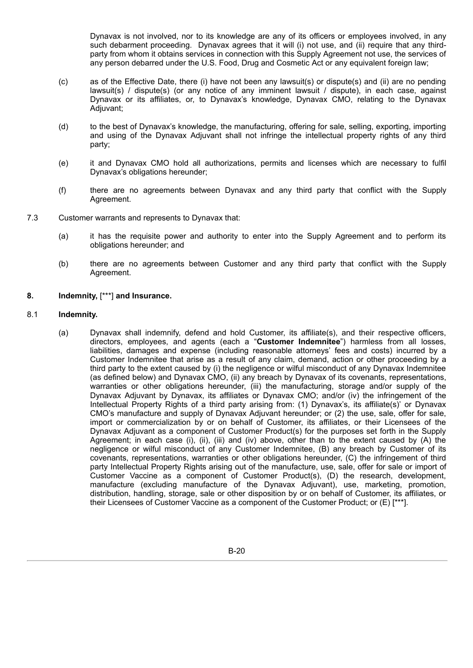Dynavax is not involved, nor to its knowledge are any of its officers or employees involved, in any such debarment proceeding. Dynavax agrees that it will (i) not use, and (ii) require that any thirdparty from whom it obtains services in connection with this Supply Agreement not use, the services of any person debarred under the U.S. Food, Drug and Cosmetic Act or any equivalent foreign law;

- (c) as of the Effective Date, there (i) have not been any lawsuit(s) or dispute(s) and (ii) are no pending lawsuit(s) / dispute(s) (or any notice of any imminent lawsuit / dispute), in each case, against Dynavax or its affiliates, or, to Dynavax's knowledge, Dynavax CMO, relating to the Dynavax Adjuvant:
- (d) to the best of Dynavax's knowledge, the manufacturing, offering for sale, selling, exporting, importing and using of the Dynavax Adjuvant shall not infringe the intellectual property rights of any third party;
- (e) it and Dynavax CMO hold all authorizations, permits and licenses which are necessary to fulfil Dynavax's obligations hereunder;
- (f) there are no agreements between Dynavax and any third party that conflict with the Supply Agreement.
- 7.3 Customer warrants and represents to Dynavax that:
	- (a) it has the requisite power and authority to enter into the Supply Agreement and to perform its obligations hereunder; and
	- (b) there are no agreements between Customer and any third party that conflict with the Supply Agreement.

### **8. Indemnity,** [\*\*\*] **and Insurance.**

#### 8.1 **Indemnity.**

(a) Dynavax shall indemnify, defend and hold Customer, its affiliate(s), and their respective officers, directors, employees, and agents (each a "**Customer Indemnitee**") harmless from all losses, liabilities, damages and expense (including reasonable attorneys' fees and costs) incurred by a Customer Indemnitee that arise as a result of any claim, demand, action or other proceeding by a third party to the extent caused by (i) the negligence or wilful misconduct of any Dynavax Indemnitee (as defined below) and Dynavax CMO, (ii) any breach by Dynavax of its covenants, representations, warranties or other obligations hereunder, (iii) the manufacturing, storage and/or supply of the Dynavax Adjuvant by Dynavax, its affiliates or Dynavax CMO; and/or (iv) the infringement of the Intellectual Property Rights of a third party arising from: (1) Dynavax's, its affiliate(s)' or Dynavax CMO's manufacture and supply of Dynavax Adjuvant hereunder; or (2) the use, sale, offer for sale, import or commercialization by or on behalf of Customer, its affiliates, or their Licensees of the Dynavax Adjuvant as a component of Customer Product(s) for the purposes set forth in the Supply Agreement; in each case (i), (ii), (iii) and (iv) above, other than to the extent caused by (A) the negligence or wilful misconduct of any Customer Indemnitee, (B) any breach by Customer of its covenants, representations, warranties or other obligations hereunder, (C) the infringement of third party Intellectual Property Rights arising out of the manufacture, use, sale, offer for sale or import of Customer Vaccine as a component of Customer Product(s), (D) the research, development, manufacture (excluding manufacture of the Dynavax Adjuvant), use, marketing, promotion, distribution, handling, storage, sale or other disposition by or on behalf of Customer, its affiliates, or their Licensees of Customer Vaccine as a component of the Customer Product; or (E) [\*\*\*].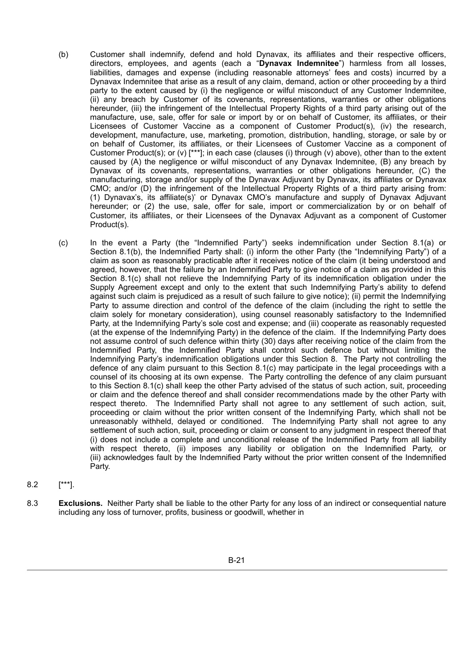- (b) Customer shall indemnify, defend and hold Dynavax, its affiliates and their respective officers, directors, employees, and agents (each a "**Dynavax Indemnitee**") harmless from all losses, liabilities, damages and expense (including reasonable attorneys' fees and costs) incurred by a Dynavax Indemnitee that arise as a result of any claim, demand, action or other proceeding by a third party to the extent caused by (i) the negligence or wilful misconduct of any Customer Indemnitee, (ii) any breach by Customer of its covenants, representations, warranties or other obligations hereunder, (iii) the infringement of the Intellectual Property Rights of a third party arising out of the manufacture, use, sale, offer for sale or import by or on behalf of Customer, its affiliates, or their Licensees of Customer Vaccine as a component of Customer Product(s), (iv) the research, development, manufacture, use, marketing, promotion, distribution, handling, storage, or sale by or on behalf of Customer, its affiliates, or their Licensees of Customer Vaccine as a component of Customer Product(s); or (v) [\*\*\*]; in each case (clauses (i) through (v) above), other than to the extent caused by (A) the negligence or wilful misconduct of any Dynavax Indemnitee, (B) any breach by Dynavax of its covenants, representations, warranties or other obligations hereunder, (C) the manufacturing, storage and/or supply of the Dynavax Adjuvant by Dynavax, its affiliates or Dynavax CMO; and/or (D) the infringement of the Intellectual Property Rights of a third party arising from: (1) Dynavax's, its affiliate(s)' or Dynavax CMO's manufacture and supply of Dynavax Adjuvant hereunder; or (2) the use, sale, offer for sale, import or commercialization by or on behalf of Customer, its affiliates, or their Licensees of the Dynavax Adjuvant as a component of Customer Product(s).
- (c) In the event a Party (the "Indemnified Party") seeks indemnification under Section 8.1(a) or Section 8.1(b), the Indemnified Party shall: (i) inform the other Party (the "Indemnifying Party") of a claim as soon as reasonably practicable after it receives notice of the claim (it being understood and agreed, however, that the failure by an Indemnified Party to give notice of a claim as provided in this Section 8.1(c) shall not relieve the Indemnifying Party of its indemnification obligation under the Supply Agreement except and only to the extent that such Indemnifying Party's ability to defend against such claim is prejudiced as a result of such failure to give notice); (ii) permit the Indemnifying Party to assume direction and control of the defence of the claim (including the right to settle the claim solely for monetary consideration), using counsel reasonably satisfactory to the Indemnified Party, at the Indemnifying Party's sole cost and expense; and (iii) cooperate as reasonably requested (at the expense of the Indemnifying Party) in the defence of the claim. If the Indemnifying Party does not assume control of such defence within thirty (30) days after receiving notice of the claim from the Indemnified Party, the Indemnified Party shall control such defence but without limiting the Indemnifying Party's indemnification obligations under this Section 8. The Party not controlling the defence of any claim pursuant to this Section 8.1(c) may participate in the legal proceedings with a counsel of its choosing at its own expense. The Party controlling the defence of any claim pursuant to this Section 8.1(c) shall keep the other Party advised of the status of such action, suit, proceeding or claim and the defence thereof and shall consider recommendations made by the other Party with respect thereto. The Indemnified Party shall not agree to any settlement of such action, suit, proceeding or claim without the prior written consent of the Indemnifying Party, which shall not be unreasonably withheld, delayed or conditioned. The Indemnifying Party shall not agree to any settlement of such action, suit, proceeding or claim or consent to any judgment in respect thereof that (i) does not include a complete and unconditional release of the Indemnified Party from all liability with respect thereto, (ii) imposes any liability or obligation on the Indemnified Party, or (iii) acknowledges fault by the Indemnified Party without the prior written consent of the Indemnified Party.
- 8.2 [\*\*\*].
- 8.3 **Exclusions.** Neither Party shall be liable to the other Party for any loss of an indirect or consequential nature including any loss of turnover, profits, business or goodwill, whether in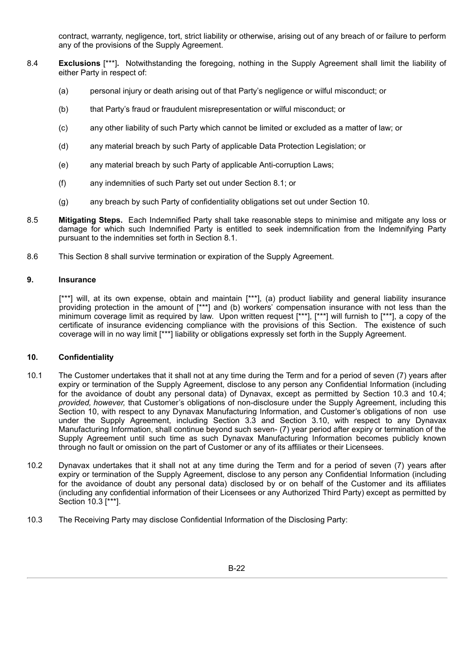contract, warranty, negligence, tort, strict liability or otherwise, arising out of any breach of or failure to perform any of the provisions of the Supply Agreement.

- 8.4 **Exclusions** [\*\*\*]**.** Notwithstanding the foregoing, nothing in the Supply Agreement shall limit the liability of either Party in respect of:
	- (a) personal injury or death arising out of that Party's negligence or wilful misconduct; or
	- (b) that Party's fraud or fraudulent misrepresentation or wilful misconduct; or
	- (c) any other liability of such Party which cannot be limited or excluded as a matter of law; or
	- (d) any material breach by such Party of applicable Data Protection Legislation; or
	- (e) any material breach by such Party of applicable Anti-corruption Laws;
	- (f) any indemnities of such Party set out under Section 8.1; or
	- (g) any breach by such Party of confidentiality obligations set out under Section 10.
- 8.5 **Mitigating Steps.** Each Indemnified Party shall take reasonable steps to minimise and mitigate any loss or damage for which such Indemnified Party is entitled to seek indemnification from the Indemnifying Party pursuant to the indemnities set forth in Section 8.1.
- 8.6 This Section 8 shall survive termination or expiration of the Supply Agreement.

# **9. Insurance**

[\*\*\*] will, at its own expense, obtain and maintain [\*\*\*], (a) product liability and general liability insurance providing protection in the amount of [\*\*\*] and (b) workers' compensation insurance with not less than the minimum coverage limit as required by law. Upon written request [\*\*\*], [\*\*\*] will furnish to [\*\*\*], a copy of the certificate of insurance evidencing compliance with the provisions of this Section. The existence of such coverage will in no way limit [\*\*\*] liability or obligations expressly set forth in the Supply Agreement.

# **10. Confidentiality**

- 10.1 The Customer undertakes that it shall not at any time during the Term and for a period of seven (7) years after expiry or termination of the Supply Agreement, disclose to any person any Confidential Information (including for the avoidance of doubt any personal data) of Dynavax, except as permitted by Section 10.3 and 10.4; *provided, however,* that Customer's obligations of non-disclosure under the Supply Agreement, including this Section 10, with respect to any Dynavax Manufacturing Information, and Customer's obligations of non use under the Supply Agreement, including Section 3.3 and Section 3.10, with respect to any Dynavax Manufacturing Information, shall continue beyond such seven- (7) year period after expiry or termination of the Supply Agreement until such time as such Dynavax Manufacturing Information becomes publicly known through no fault or omission on the part of Customer or any of its affiliates or their Licensees.
- 10.2 Dynavax undertakes that it shall not at any time during the Term and for a period of seven (7) years after expiry or termination of the Supply Agreement, disclose to any person any Confidential Information (including for the avoidance of doubt any personal data) disclosed by or on behalf of the Customer and its affiliates (including any confidential information of their Licensees or any Authorized Third Party) except as permitted by Section 10.3 [\*\*\*].
- 10.3 The Receiving Party may disclose Confidential Information of the Disclosing Party: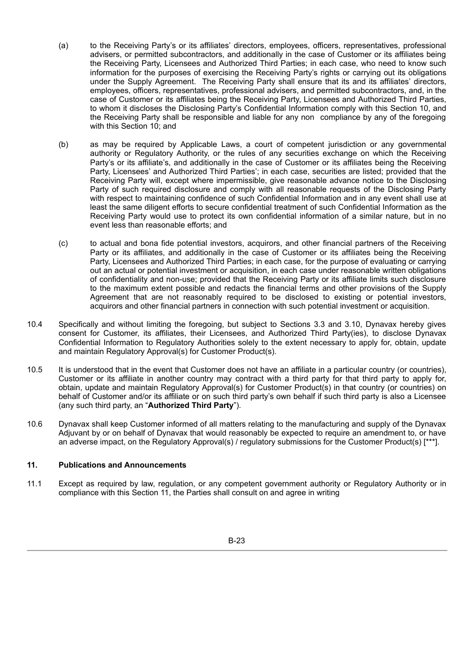- (a) to the Receiving Party's or its affiliates' directors, employees, officers, representatives, professional advisers, or permitted subcontractors, and additionally in the case of Customer or its affiliates being the Receiving Party, Licensees and Authorized Third Parties; in each case, who need to know such information for the purposes of exercising the Receiving Party's rights or carrying out its obligations under the Supply Agreement. The Receiving Party shall ensure that its and its affiliates' directors, employees, officers, representatives, professional advisers, and permitted subcontractors, and, in the case of Customer or its affiliates being the Receiving Party, Licensees and Authorized Third Parties, to whom it discloses the Disclosing Party's Confidential Information comply with this Section 10, and the Receiving Party shall be responsible and liable for any non compliance by any of the foregoing with this Section 10; and
- (b) as may be required by Applicable Laws, a court of competent jurisdiction or any governmental authority or Regulatory Authority, or the rules of any securities exchange on which the Receiving Party's or its affiliate's, and additionally in the case of Customer or its affiliates being the Receiving Party, Licensees' and Authorized Third Parties'; in each case, securities are listed; provided that the Receiving Party will, except where impermissible, give reasonable advance notice to the Disclosing Party of such required disclosure and comply with all reasonable requests of the Disclosing Party with respect to maintaining confidence of such Confidential Information and in any event shall use at least the same diligent efforts to secure confidential treatment of such Confidential Information as the Receiving Party would use to protect its own confidential information of a similar nature, but in no event less than reasonable efforts; and
- (c) to actual and bona fide potential investors, acquirors, and other financial partners of the Receiving Party or its affiliates, and additionally in the case of Customer or its affiliates being the Receiving Party, Licensees and Authorized Third Parties; in each case, for the purpose of evaluating or carrying out an actual or potential investment or acquisition, in each case under reasonable written obligations of confidentiality and non-use; provided that the Receiving Party or its affiliate limits such disclosure to the maximum extent possible and redacts the financial terms and other provisions of the Supply Agreement that are not reasonably required to be disclosed to existing or potential investors, acquirors and other financial partners in connection with such potential investment or acquisition.
- 10.4 Specifically and without limiting the foregoing, but subject to Sections 3.3 and 3.10, Dynavax hereby gives consent for Customer, its affiliates, their Licensees, and Authorized Third Party(ies), to disclose Dynavax Confidential Information to Regulatory Authorities solely to the extent necessary to apply for, obtain, update and maintain Regulatory Approval(s) for Customer Product(s).
- 10.5 It is understood that in the event that Customer does not have an affiliate in a particular country (or countries), Customer or its affiliate in another country may contract with a third party for that third party to apply for, obtain, update and maintain Regulatory Approval(s) for Customer Product(s) in that country (or countries) on behalf of Customer and/or its affiliate or on such third party's own behalf if such third party is also a Licensee (any such third party, an "**Authorized Third Party**").
- 10.6 Dynavax shall keep Customer informed of all matters relating to the manufacturing and supply of the Dynavax Adjuvant by or on behalf of Dynavax that would reasonably be expected to require an amendment to, or have an adverse impact, on the Regulatory Approval(s) / regulatory submissions for the Customer Product(s) [\*\*\*].

# **11. Publications and Announcements**

11.1 Except as required by law, regulation, or any competent government authority or Regulatory Authority or in compliance with this Section 11, the Parties shall consult on and agree in writing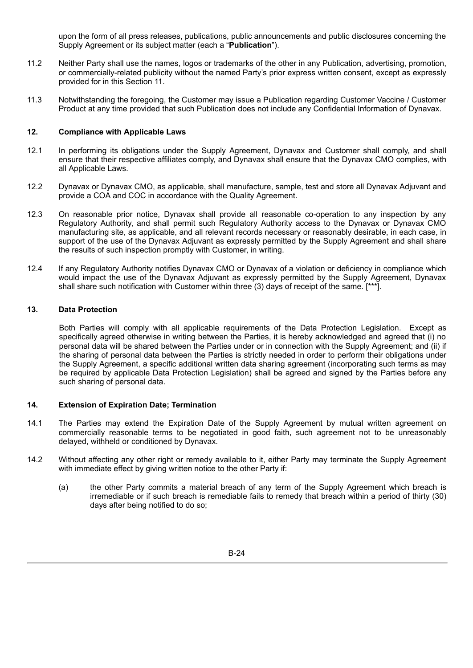upon the form of all press releases, publications, public announcements and public disclosures concerning the Supply Agreement or its subject matter (each a "**Publication**").

- 11.2 Neither Party shall use the names, logos or trademarks of the other in any Publication, advertising, promotion, or commercially-related publicity without the named Party's prior express written consent, except as expressly provided for in this Section 11.
- 11.3 Notwithstanding the foregoing, the Customer may issue a Publication regarding Customer Vaccine / Customer Product at any time provided that such Publication does not include any Confidential Information of Dynavax.

#### **12. Compliance with Applicable Laws**

- 12.1 In performing its obligations under the Supply Agreement, Dynavax and Customer shall comply, and shall ensure that their respective affiliates comply, and Dynavax shall ensure that the Dynavax CMO complies, with all Applicable Laws.
- 12.2 Dynavax or Dynavax CMO, as applicable, shall manufacture, sample, test and store all Dynavax Adjuvant and provide a COA and COC in accordance with the Quality Agreement.
- 12.3 On reasonable prior notice, Dynavax shall provide all reasonable co-operation to any inspection by any Regulatory Authority, and shall permit such Regulatory Authority access to the Dynavax or Dynavax CMO manufacturing site, as applicable, and all relevant records necessary or reasonably desirable, in each case, in support of the use of the Dynavax Adjuvant as expressly permitted by the Supply Agreement and shall share the results of such inspection promptly with Customer, in writing.
- 12.4 If any Regulatory Authority notifies Dynavax CMO or Dynavax of a violation or deficiency in compliance which would impact the use of the Dynavax Adjuvant as expressly permitted by the Supply Agreement, Dynavax shall share such notification with Customer within three (3) days of receipt of the same. [\*\*\*].

#### **13. Data Protection**

Both Parties will comply with all applicable requirements of the Data Protection Legislation. Except as specifically agreed otherwise in writing between the Parties, it is hereby acknowledged and agreed that (i) no personal data will be shared between the Parties under or in connection with the Supply Agreement; and (ii) if the sharing of personal data between the Parties is strictly needed in order to perform their obligations under the Supply Agreement, a specific additional written data sharing agreement (incorporating such terms as may be required by applicable Data Protection Legislation) shall be agreed and signed by the Parties before any such sharing of personal data.

# **14. Extension of Expiration Date; Termination**

- 14.1 The Parties may extend the Expiration Date of the Supply Agreement by mutual written agreement on commercially reasonable terms to be negotiated in good faith, such agreement not to be unreasonably delayed, withheld or conditioned by Dynavax.
- 14.2 Without affecting any other right or remedy available to it, either Party may terminate the Supply Agreement with immediate effect by giving written notice to the other Party if:
	- (a) the other Party commits a material breach of any term of the Supply Agreement which breach is irremediable or if such breach is remediable fails to remedy that breach within a period of thirty (30) days after being notified to do so;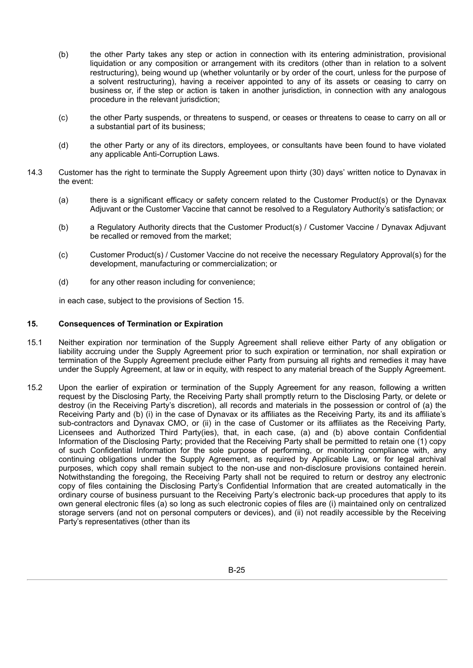- (b) the other Party takes any step or action in connection with its entering administration, provisional liquidation or any composition or arrangement with its creditors (other than in relation to a solvent restructuring), being wound up (whether voluntarily or by order of the court, unless for the purpose of a solvent restructuring), having a receiver appointed to any of its assets or ceasing to carry on business or, if the step or action is taken in another jurisdiction, in connection with any analogous procedure in the relevant jurisdiction;
- (c) the other Party suspends, or threatens to suspend, or ceases or threatens to cease to carry on all or a substantial part of its business;
- (d) the other Party or any of its directors, employees, or consultants have been found to have violated any applicable Anti-Corruption Laws.
- 14.3 Customer has the right to terminate the Supply Agreement upon thirty (30) days' written notice to Dynavax in the event:
	- (a) there is a significant efficacy or safety concern related to the Customer Product(s) or the Dynavax Adjuvant or the Customer Vaccine that cannot be resolved to a Regulatory Authority's satisfaction; or
	- (b) a Regulatory Authority directs that the Customer Product(s) / Customer Vaccine / Dynavax Adjuvant be recalled or removed from the market;
	- (c) Customer Product(s) / Customer Vaccine do not receive the necessary Regulatory Approval(s) for the development, manufacturing or commercialization; or
	- (d) for any other reason including for convenience;

in each case, subject to the provisions of Section 15.

### **15. Consequences of Termination or Expiration**

- 15.1 Neither expiration nor termination of the Supply Agreement shall relieve either Party of any obligation or liability accruing under the Supply Agreement prior to such expiration or termination, nor shall expiration or termination of the Supply Agreement preclude either Party from pursuing all rights and remedies it may have under the Supply Agreement, at law or in equity, with respect to any material breach of the Supply Agreement.
- 15.2 Upon the earlier of expiration or termination of the Supply Agreement for any reason, following a written request by the Disclosing Party, the Receiving Party shall promptly return to the Disclosing Party, or delete or destroy (in the Receiving Party's discretion), all records and materials in the possession or control of (a) the Receiving Party and (b) (i) in the case of Dynavax or its affiliates as the Receiving Party, its and its affiliate's sub-contractors and Dynavax CMO, or (ii) in the case of Customer or its affiliates as the Receiving Party, Licensees and Authorized Third Party(ies), that, in each case, (a) and (b) above contain Confidential Information of the Disclosing Party; provided that the Receiving Party shall be permitted to retain one (1) copy of such Confidential Information for the sole purpose of performing, or monitoring compliance with, any continuing obligations under the Supply Agreement, as required by Applicable Law, or for legal archival purposes, which copy shall remain subject to the non-use and non-disclosure provisions contained herein. Notwithstanding the foregoing, the Receiving Party shall not be required to return or destroy any electronic copy of files containing the Disclosing Party's Confidential Information that are created automatically in the ordinary course of business pursuant to the Receiving Party's electronic back-up procedures that apply to its own general electronic files (a) so long as such electronic copies of files are (i) maintained only on centralized storage servers (and not on personal computers or devices), and (ii) not readily accessible by the Receiving Party's representatives (other than its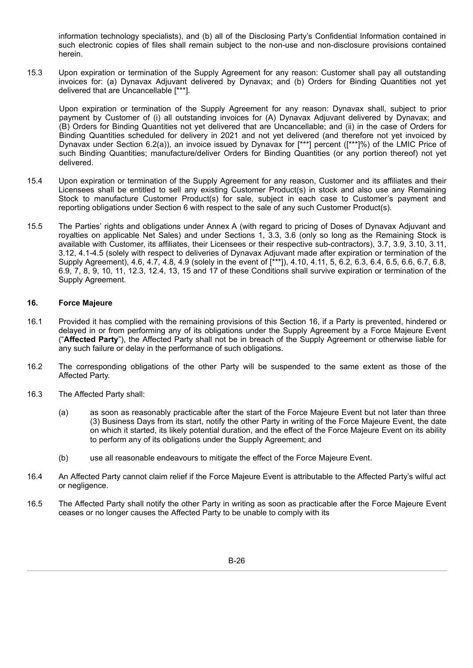information technology specialists), and (b) all of the Disclosing Party's Confidential Information contained in such electronic copies of files shall remain subject to the non-use and non-disclosure provisions contained herein.

15.3 Upon expiration or termination of the Supply Agreement for any reason: Customer shall pay all outstanding invoices for: (a) Dynavax Adjuvant delivered by Dynavax; and (b) Orders for Binding Quantities not yet delivered that are Uncancellable [\*\*\*].

Upon expiration or termination of the Supply Agreement for any reason: Dynavax shall, subject to prior payment by Customer of (i) all outstanding invoices for (A) Dynavax Adjuvant delivered by Dynavax; and (B) Orders for Binding Quantities not yet delivered that are Uncancellable; and (ii) in the case of Orders for Binding Quantities scheduled for delivery in 2021 and not yet delivered (and therefore not yet invoiced by Dynavax under Section 6.2(a)), an invoice issued by Dynavax for [\*\*\*] percent ([\*\*\*]%) of the LMIC Price of such Binding Quantities; manufacture/deliver Orders for Binding Quantities (or any portion thereof) not yet delivered.

- 15.4 Upon expiration or termination of the Supply Agreement for any reason, Customer and its affiliates and their Licensees shall be entitled to sell any existing Customer Product(s) in stock and also use any Remaining Stock to manufacture Customer Product(s) for sale, subject in each case to Customer's payment and reporting obligations under Section 6 with respect to the sale of any such Customer Product(s).
- 15.5 The Parties' rights and obligations under Annex A (with regard to pricing of Doses of Dynavax Adjuvant and royalties on applicable Net Sales) and under Sections 1, 3.3, 3.6 (only so long as the Remaining Stock is available with Customer, its affiliates, their Licensees or their respective sub-contractors), 3.7, 3.9, 3.10, 3.11, 3.12, 4.1-4.5 (solely with respect to deliveries of Dynavax Adjuvant made after expiration or termination of the Supply Agreement), 4.6, 4.7, 4.8, 4.9 (solely in the event of [\*\*\*]), 4.10, 4.11, 5, 6.2, 6.3, 6.4, 6.5, 6.6, 6.7, 6.8, 6.9, 7, 8, 9, 10, 11, 12.3, 12.4, 13, 15 and 17 of these Conditions shall survive expiration or termination of the Supply Agreement.

#### **16. Force Majeure**

- 16.1 Provided it has complied with the remaining provisions of this Section 16, if a Party is prevented, hindered or delayed in or from performing any of its obligations under the Supply Agreement by a Force Majeure Event ("**Affected Party**"), the Affected Party shall not be in breach of the Supply Agreement or otherwise liable for any such failure or delay in the performance of such obligations.
- 16.2 The corresponding obligations of the other Party will be suspended to the same extent as those of the Affected Party.
- 16.3 The Affected Party shall:
	- (a) as soon as reasonably practicable after the start of the Force Majeure Event but not later than three (3) Business Days from its start, notify the other Party in writing of the Force Majeure Event, the date on which it started, its likely potential duration, and the effect of the Force Majeure Event on its ability to perform any of its obligations under the Supply Agreement; and
	- (b) use all reasonable endeavours to mitigate the effect of the Force Majeure Event.
- 16.4 An Affected Party cannot claim relief if the Force Majeure Event is attributable to the Affected Party's wilful act or negligence.
- 16.5 The Affected Party shall notify the other Party in writing as soon as practicable after the Force Majeure Event ceases or no longer causes the Affected Party to be unable to comply with its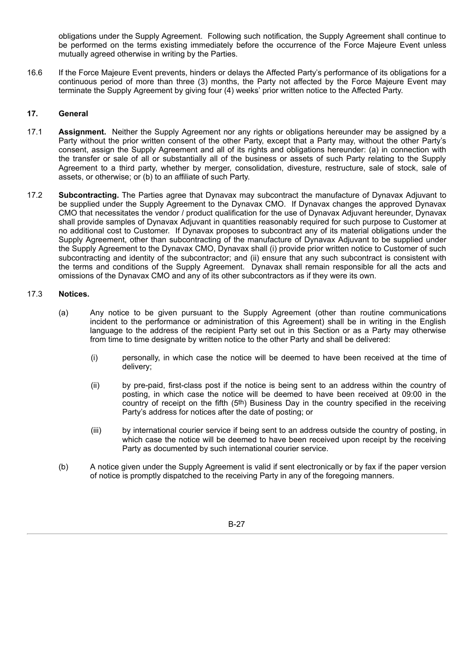obligations under the Supply Agreement. Following such notification, the Supply Agreement shall continue to be performed on the terms existing immediately before the occurrence of the Force Majeure Event unless mutually agreed otherwise in writing by the Parties.

16.6 If the Force Majeure Event prevents, hinders or delays the Affected Party's performance of its obligations for a continuous period of more than three (3) months, the Party not affected by the Force Majeure Event may terminate the Supply Agreement by giving four (4) weeks' prior written notice to the Affected Party.

# **17. General**

- 17.1 **Assignment.** Neither the Supply Agreement nor any rights or obligations hereunder may be assigned by a Party without the prior written consent of the other Party, except that a Party may, without the other Party's consent, assign the Supply Agreement and all of its rights and obligations hereunder: (a) in connection with the transfer or sale of all or substantially all of the business or assets of such Party relating to the Supply Agreement to a third party, whether by merger, consolidation, divesture, restructure, sale of stock, sale of assets, or otherwise; or (b) to an affiliate of such Party.
- 17.2 **Subcontracting.** The Parties agree that Dynavax may subcontract the manufacture of Dynavax Adjuvant to be supplied under the Supply Agreement to the Dynavax CMO. If Dynavax changes the approved Dynavax CMO that necessitates the vendor / product qualification for the use of Dynavax Adjuvant hereunder, Dynavax shall provide samples of Dynavax Adjuvant in quantities reasonably required for such purpose to Customer at no additional cost to Customer. If Dynavax proposes to subcontract any of its material obligations under the Supply Agreement, other than subcontracting of the manufacture of Dynavax Adjuvant to be supplied under the Supply Agreement to the Dynavax CMO, Dynavax shall (i) provide prior written notice to Customer of such subcontracting and identity of the subcontractor; and (ii) ensure that any such subcontract is consistent with the terms and conditions of the Supply Agreement. Dynavax shall remain responsible for all the acts and omissions of the Dynavax CMO and any of its other subcontractors as if they were its own.

# 17.3 **Notices.**

- (a) Any notice to be given pursuant to the Supply Agreement (other than routine communications incident to the performance or administration of this Agreement) shall be in writing in the English language to the address of the recipient Party set out in this Section or as a Party may otherwise from time to time designate by written notice to the other Party and shall be delivered:
	- (i) personally, in which case the notice will be deemed to have been received at the time of delivery;
	- (ii) by pre-paid, first-class post if the notice is being sent to an address within the country of posting, in which case the notice will be deemed to have been received at 09:00 in the country of receipt on the fifth (5th) Business Day in the country specified in the receiving Party's address for notices after the date of posting; or
	- (iii) by international courier service if being sent to an address outside the country of posting, in which case the notice will be deemed to have been received upon receipt by the receiving Party as documented by such international courier service.
- (b) A notice given under the Supply Agreement is valid if sent electronically or by fax if the paper version of notice is promptly dispatched to the receiving Party in any of the foregoing manners.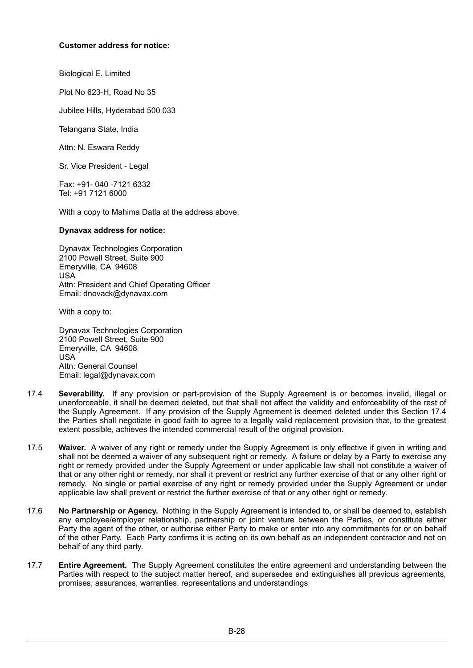#### **Customer address for notice:**

Biological E. Limited

Plot No 623-H, Road No 35

Jubilee Hills, Hyderabad 500 033

Telangana State, India

Attn: N. Eswara Reddy

Sr. Vice President - Legal

Fax: +91- 040 -7121 6332 Tel: +91 7121 6000

With a copy to Mahima Datla at the address above.

#### **Dynavax address for notice:**

Dynavax Technologies Corporation 2100 Powell Street, Suite 900 Emeryville, CA 94608 USA Attn: President and Chief Operating Officer Email: dnovack@dynavax.com

With a copy to:

Dynavax Technologies Corporation 2100 Powell Street, Suite 900 Emeryville, CA 94608 USA Attn: General Counsel Email: legal@dynavax.com

- 17.4 **Severability.** If any provision or part-provision of the Supply Agreement is or becomes invalid, illegal or unenforceable, it shall be deemed deleted, but that shall not affect the validity and enforceability of the rest of the Supply Agreement. If any provision of the Supply Agreement is deemed deleted under this Section 17.4 the Parties shall negotiate in good faith to agree to a legally valid replacement provision that, to the greatest extent possible, achieves the intended commercial result of the original provision.
- 17.5 **Waiver.** A waiver of any right or remedy under the Supply Agreement is only effective if given in writing and shall not be deemed a waiver of any subsequent right or remedy. A failure or delay by a Party to exercise any right or remedy provided under the Supply Agreement or under applicable law shall not constitute a waiver of that or any other right or remedy, nor shall it prevent or restrict any further exercise of that or any other right or remedy. No single or partial exercise of any right or remedy provided under the Supply Agreement or under applicable law shall prevent or restrict the further exercise of that or any other right or remedy.
- 17.6 **No Partnership or Agency.** Nothing in the Supply Agreement is intended to, or shall be deemed to, establish any employee/employer relationship, partnership or joint venture between the Parties, or constitute either Party the agent of the other, or authorise either Party to make or enter into any commitments for or on behalf of the other Party. Each Party confirms it is acting on its own behalf as an independent contractor and not on behalf of any third party.
- 17.7 **Entire Agreement.** The Supply Agreement constitutes the entire agreement and understanding between the Parties with respect to the subject matter hereof, and supersedes and extinguishes all previous agreements, promises, assurances, warranties, representations and understandings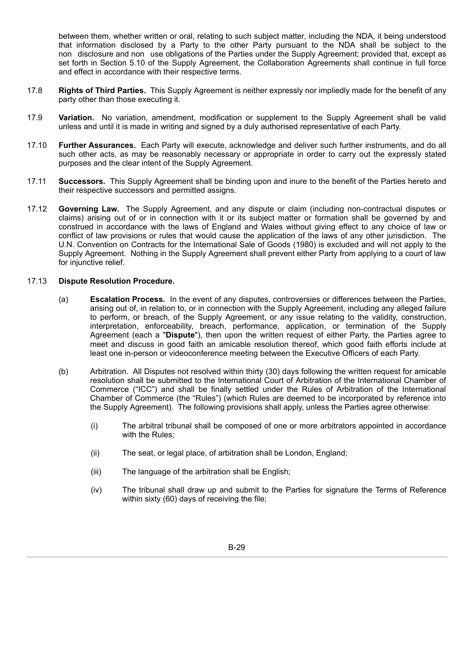between them, whether written or oral, relating to such subject matter, including the NDA, it being understood that information disclosed by a Party to the other Party pursuant to the NDA shall be subject to the non disclosure and non use obligations of the Parties under the Supply Agreement; provided that, except as set forth in Section 5.10 of the Supply Agreement, the Collaboration Agreements shall continue in full force and effect in accordance with their respective terms.

- 17.8 **Rights of Third Parties.** This Supply Agreement is neither expressly nor impliedly made for the benefit of any party other than those executing it.
- 17.9 **Variation.** No variation, amendment, modification or supplement to the Supply Agreement shall be valid unless and until it is made in writing and signed by a duly authorised representative of each Party.
- 17.10 **Further Assurances.** Each Party will execute, acknowledge and deliver such further instruments, and do all such other acts, as may be reasonably necessary or appropriate in order to carry out the expressly stated purposes and the clear intent of the Supply Agreement.
- 17.11 **Successors.** This Supply Agreement shall be binding upon and inure to the benefit of the Parties hereto and their respective successors and permitted assigns.
- 17.12 **Governing Law.** The Supply Agreement, and any dispute or claim (including non-contractual disputes or claims) arising out of or in connection with it or its subject matter or formation shall be governed by and construed in accordance with the laws of England and Wales without giving effect to any choice of law or conflict of law provisions or rules that would cause the application of the laws of any other jurisdiction. The U.N. Convention on Contracts for the International Sale of Goods (1980) is excluded and will not apply to the Supply Agreement. Nothing in the Supply Agreement shall prevent either Party from applying to a court of law for injunctive relief.

#### 17.13 **Dispute Resolution Procedure.**

- (a) **Escalation Process.** In the event of any disputes, controversies or differences between the Parties, arising out of, in relation to, or in connection with the Supply Agreement, including any alleged failure to perform, or breach, of the Supply Agreement, or any issue relating to the validity, construction, interpretation, enforceability, breach, performance, application, or termination of the Supply Agreement (each a "**Dispute**"), then upon the written request of either Party, the Parties agree to meet and discuss in good faith an amicable resolution thereof, which good faith efforts include at least one in-person or videoconference meeting between the Executive Officers of each Party.
- (b) Arbitration. All Disputes not resolved within thirty (30) days following the written request for amicable resolution shall be submitted to the International Court of Arbitration of the International Chamber of Commerce ("ICC") and shall be finally settled under the Rules of Arbitration of the International Chamber of Commerce (the "Rules") (which Rules are deemed to be incorporated by reference into the Supply Agreement). The following provisions shall apply, unless the Parties agree otherwise:
	- (i) The arbitral tribunal shall be composed of one or more arbitrators appointed in accordance with the Rules;
	- (ii) The seat, or legal place, of arbitration shall be London, England;
	- (iii) The language of the arbitration shall be English;
	- (iv) The tribunal shall draw up and submit to the Parties for signature the Terms of Reference within sixty (60) days of receiving the file;